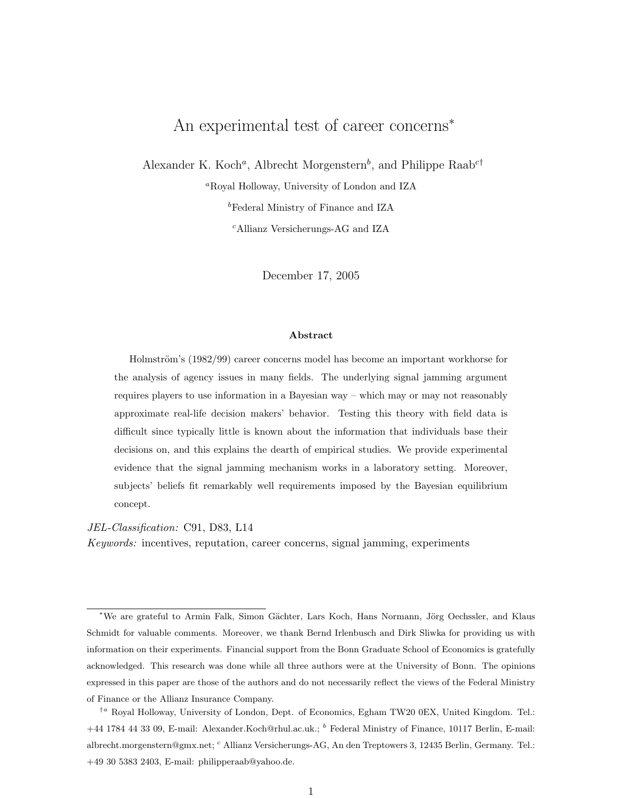# <span id="page-0-0"></span>An experimental test of career concerns<sup>∗</sup>

Alexander K. Koch<sup>a</sup>, Albrecht Morgenstern<sup>b</sup>, and Philippe Raab<sup>c†</sup>

<sup>a</sup>Royal Holloway, University of London and IZA

<sup>b</sup>Federal Ministry of Finance and IZA

<sup>c</sup>Allianz Versicherungs-AG and IZA

December 17, 2005

#### Abstract

Holmström's (1982/99) career concerns model has become an important workhorse for the analysis of agency issues in many fields. The underlying signal jamming argument requires players to use information in a Bayesian way – which may or may not reasonably approximate real-life decision makers' behavior. Testing this theory with field data is difficult since typically little is known about the information that individuals base their decisions on, and this explains the dearth of empirical studies. We provide experimental evidence that the signal jamming mechanism works in a laboratory setting. Moreover, subjects' beliefs fit remarkably well requirements imposed by the Bayesian equilibrium concept.

JEL-Classification: C91, D83, L14

Keywords: incentives, reputation, career concerns, signal jamming, experiments

<sup>\*</sup>We are grateful to Armin Falk, Simon Gächter, Lars Koch, Hans Normann, Jörg Oechssler, and Klaus Schmidt for valuable comments. Moreover, we thank Bernd Irlenbusch and Dirk Sliwka for providing us with information on their experiments. Financial support from the Bonn Graduate School of Economics is gratefully acknowledged. This research was done while all three authors were at the University of Bonn. The opinions expressed in this paper are those of the authors and do not necessarily reflect the views of the Federal Ministry of Finance or the Allianz Insurance Company.

<sup>†</sup><sup>a</sup> Royal Holloway, University of London, Dept. of Economics, Egham TW20 0EX, United Kingdom. Tel.: +44 1784 44 33 09, E-mail: Alexander.Koch@rhul.ac.uk.; <sup>b</sup> Federal Ministry of Finance, 10117 Berlin, E-mail: albrecht.morgenstern@gmx.net; <sup>c</sup> Allianz Versicherungs-AG, An den Treptowers 3, 12435 Berlin, Germany. Tel.: +49 30 5383 2403, E-mail: philipperaab@yahoo.de.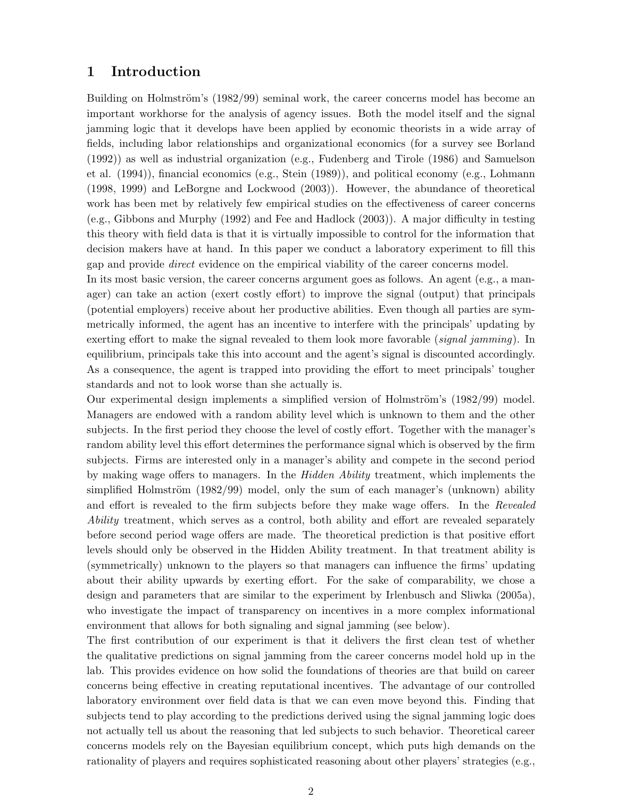## 1 Introduction

Building on Holmström's (1982/99) seminal work, the career concerns model has become an important workhorse for the analysis of agency issues. Both the model itself and the signal jamming logic that it develops have been applied by economic theorists in a wide array of fields, including labor relationships and organizational economics (for a survey see Borland (1992)) as well as industrial organization (e.g., Fudenberg and Tirole (1986) and Samuelson et al. (1994)), financial economics (e.g., Stein (1989)), and political economy (e.g., Lohmann (1998, 1999) and LeBorgne and Lockwood (2003)). However, the abundance of theoretical work has been met by relatively few empirical studies on the effectiveness of career concerns (e.g., Gibbons and Murphy (1992) and Fee and Hadlock (2003)). A major difficulty in testing this theory with field data is that it is virtually impossible to control for the information that decision makers have at hand. In this paper we conduct a laboratory experiment to fill this gap and provide direct evidence on the empirical viability of the career concerns model.

In its most basic version, the career concerns argument goes as follows. An agent (e.g., a manager) can take an action (exert costly effort) to improve the signal (output) that principals (potential employers) receive about her productive abilities. Even though all parties are symmetrically informed, the agent has an incentive to interfere with the principals' updating by exerting effort to make the signal revealed to them look more favorable *(signal jamming)*. In equilibrium, principals take this into account and the agent's signal is discounted accordingly. As a consequence, the agent is trapped into providing the effort to meet principals' tougher standards and not to look worse than she actually is.

Our experimental design implements a simplified version of Holmström's (1982/99) model. Managers are endowed with a random ability level which is unknown to them and the other subjects. In the first period they choose the level of costly effort. Together with the manager's random ability level this effort determines the performance signal which is observed by the firm subjects. Firms are interested only in a manager's ability and compete in the second period by making wage offers to managers. In the *Hidden Ability* treatment, which implements the simplified Holmström  $(1982/99)$  model, only the sum of each manager's (unknown) ability and effort is revealed to the firm subjects before they make wage offers. In the Revealed Ability treatment, which serves as a control, both ability and effort are revealed separately before second period wage offers are made. The theoretical prediction is that positive effort levels should only be observed in the Hidden Ability treatment. In that treatment ability is (symmetrically) unknown to the players so that managers can influence the firms' updating about their ability upwards by exerting effort. For the sake of comparability, we chose a design and parameters that are similar to the experiment by Irlenbusch and Sliwka (2005a), who investigate the impact of transparency on incentives in a more complex informational environment that allows for both signaling and signal jamming (see below).

The first contribution of our experiment is that it delivers the first clean test of whether the qualitative predictions on signal jamming from the career concerns model hold up in the lab. This provides evidence on how solid the foundations of theories are that build on career concerns being effective in creating reputational incentives. The advantage of our controlled laboratory environment over field data is that we can even move beyond this. Finding that subjects tend to play according to the predictions derived using the signal jamming logic does not actually tell us about the reasoning that led subjects to such behavior. Theoretical career concerns models rely on the Bayesian equilibrium concept, which puts high demands on the rationality of players and requires sophisticated reasoning about other players' strategies (e.g.,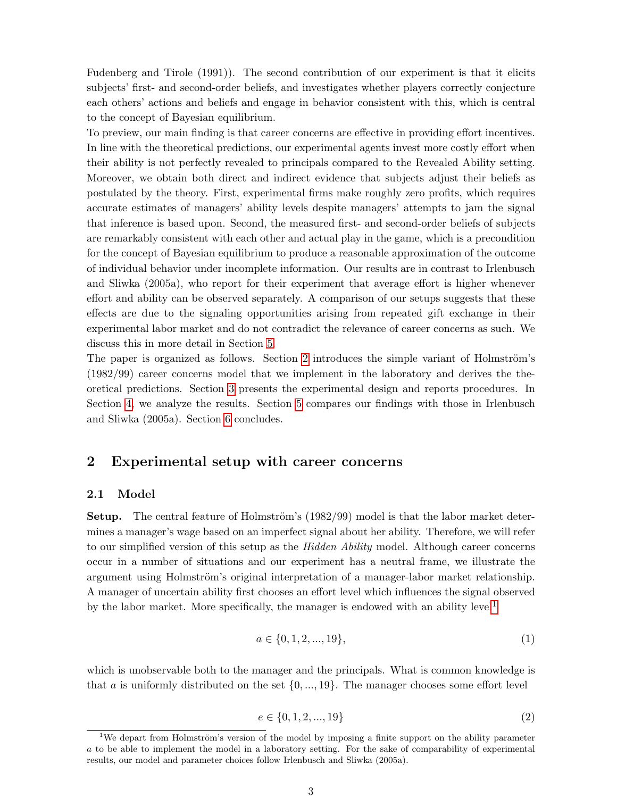Fudenberg and Tirole (1991)). The second contribution of our experiment is that it elicits subjects' first- and second-order beliefs, and investigates whether players correctly conjecture each others' actions and beliefs and engage in behavior consistent with this, which is central to the concept of Bayesian equilibrium.

To preview, our main finding is that career concerns are effective in providing effort incentives. In line with the theoretical predictions, our experimental agents invest more costly effort when their ability is not perfectly revealed to principals compared to the Revealed Ability setting. Moreover, we obtain both direct and indirect evidence that subjects adjust their beliefs as postulated by the theory. First, experimental firms make roughly zero profits, which requires accurate estimates of managers' ability levels despite managers' attempts to jam the signal that inference is based upon. Second, the measured first- and second-order beliefs of subjects are remarkably consistent with each other and actual play in the game, which is a precondition for the concept of Bayesian equilibrium to produce a reasonable approximation of the outcome of individual behavior under incomplete information. Our results are in contrast to Irlenbusch and Sliwka (2005a), who report for their experiment that average effort is higher whenever effort and ability can be observed separately. A comparison of our setups suggests that these effects are due to the signaling opportunities arising from repeated gift exchange in their experimental labor market and do not contradict the relevance of career concerns as such. We discuss this in more detail in Section [5.](#page-13-0)

The paper is organized as follows. Section [2](#page-2-0) introduces the simple variant of Holmström's (1982/99) career concerns model that we implement in the laboratory and derives the theoretical predictions. Section [3](#page-7-0) presents the experimental design and reports procedures. In Section [4,](#page-8-0) we analyze the results. Section [5](#page-13-0) compares our findings with those in Irlenbusch and Sliwka (2005a). Section [6](#page-15-0) concludes.

## <span id="page-2-0"></span>2 Experimental setup with career concerns

#### <span id="page-2-1"></span>2.1 Model

**Setup.** The central feature of Holmström's  $(1982/99)$  model is that the labor market determines a manager's wage based on an imperfect signal about her ability. Therefore, we will refer to our simplified version of this setup as the *Hidden Ability* model. Although career concerns occur in a number of situations and our experiment has a neutral frame, we illustrate the argument using Holmström's original interpretation of a manager-labor market relationship. A manager of uncertain ability first chooses an effort level which influences the signal observed by the labor market. More specifically, the manager is endowed with an ability level<sup>[1](#page-0-0)</sup>

$$
a \in \{0, 1, 2, \dots, 19\},\tag{1}
$$

which is unobservable both to the manager and the principals. What is common knowledge is that a is uniformly distributed on the set  $\{0, ..., 19\}$ . The manager chooses some effort level

$$
e \in \{0, 1, 2, \dots, 19\} \tag{2}
$$

 $1$ We depart from Holmström's version of the model by imposing a finite support on the ability parameter a to be able to implement the model in a laboratory setting. For the sake of comparability of experimental results, our model and parameter choices follow Irlenbusch and Sliwka (2005a).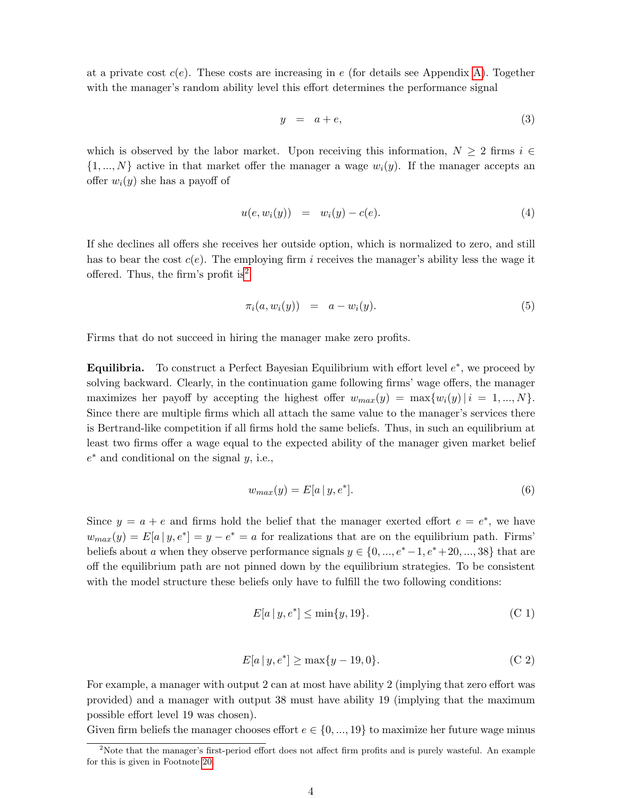at a private cost  $c(e)$ . These costs are increasing in e (for details see Appendix [A\)](#page-18-0). Together with the manager's random ability level this effort determines the performance signal

$$
y = a + e,\tag{3}
$$

which is observed by the labor market. Upon receiving this information,  $N \geq 2$  firms  $i \in$  $\{1, ..., N\}$  active in that market offer the manager a wage  $w_i(y)$ . If the manager accepts an offer  $w_i(y)$  she has a payoff of

$$
u(e, w_i(y)) = w_i(y) - c(e). \tag{4}
$$

If she declines all offers she receives her outside option, which is normalized to zero, and still has to bear the cost  $c(e)$ . The employing firm i receives the manager's ability less the wage it offered. Thus, the firm's profit is<sup>[2](#page-0-0)</sup>

$$
\pi_i(a, w_i(y)) = a - w_i(y). \tag{5}
$$

Firms that do not succeed in hiring the manager make zero profits.

Equilibria. To construct a Perfect Bayesian Equilibrium with effort level  $e^*$ , we proceed by solving backward. Clearly, in the continuation game following firms' wage offers, the manager maximizes her payoff by accepting the highest offer  $w_{max}(y) = \max\{w_i(y) | i = 1, ..., N\}.$ Since there are multiple firms which all attach the same value to the manager's services there is Bertrand-like competition if all firms hold the same beliefs. Thus, in such an equilibrium at least two firms offer a wage equal to the expected ability of the manager given market belief  $e^*$  and conditional on the signal  $y$ , i.e.,

$$
w_{max}(y) = E[a \mid y, e^*]. \tag{6}
$$

Since  $y = a + e$  and firms hold the belief that the manager exerted effort  $e = e^*$ , we have  $w_{max}(y) = E[a | y, e^*] = y - e^* = a$  for realizations that are on the equilibrium path. Firms' beliefs about a when they observe performance signals  $y \in \{0, ..., e^* - 1, e^* + 20, ..., 38\}$  that are off the equilibrium path are not pinned down by the equilibrium strategies. To be consistent with the model structure these beliefs only have to fulfill the two following conditions:

<span id="page-3-0"></span>
$$
E[a \mid y, e^*] \le \min\{y, 19\}.\tag{C.1}
$$

$$
E[a \, | \, y, e^*] \ge \max\{y - 19, 0\}.\tag{C.2}
$$

<span id="page-3-1"></span>For example, a manager with output 2 can at most have ability 2 (implying that zero effort was provided) and a manager with output 38 must have ability 19 (implying that the maximum possible effort level 19 was chosen).

Given firm beliefs the manager chooses effort  $e \in \{0, ..., 19\}$  to maximize her future wage minus

<sup>&</sup>lt;sup>2</sup>Note that the manager's first-period effort does not affect firm profits and is purely wasteful. An example for this is given in Footnote [20.](#page-14-0)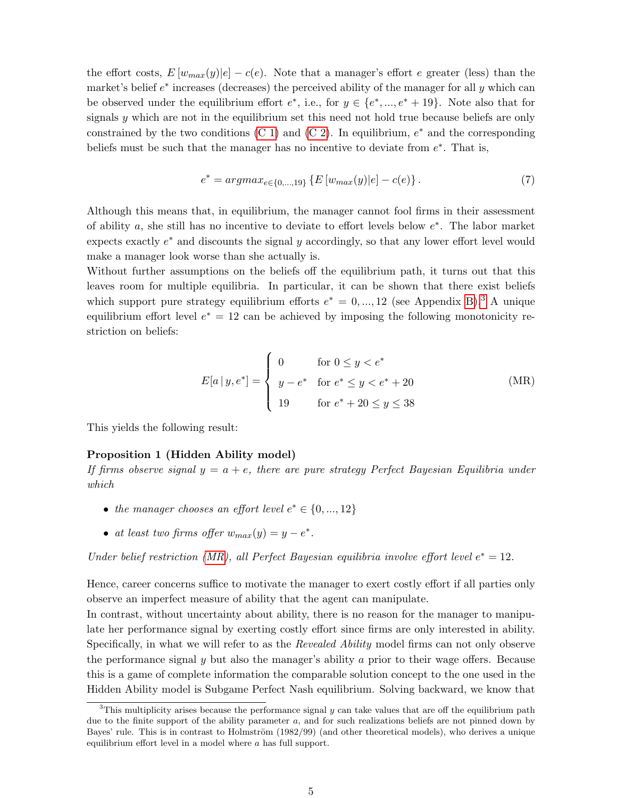the effort costs,  $E[w_{max}(y)|e] - c(e)$ . Note that a manager's effort e greater (less) than the market's belief  $e^*$  increases (decreases) the perceived ability of the manager for all  $y$  which can be observed under the equilibrium effort  $e^*$ , i.e., for  $y \in \{e^*,...,e^*+19\}$ . Note also that for signals y which are not in the equilibrium set this need not hold true because beliefs are only constrained by the two conditions  $(C 1)$  and  $(C 2)$ . In equilibrium,  $e^*$  and the corresponding beliefs must be such that the manager has no incentive to deviate from  $e^*$ . That is,

$$
e^* = argmax_{e \in \{0,\dots,19\}} \left\{ E \left[ w_{max}(y)|e \right] - c(e) \right\}.
$$
 (7)

Although this means that, in equilibrium, the manager cannot fool firms in their assessment of ability  $a$ , she still has no incentive to deviate to effort levels below  $e^*$ . The labor market expects exactly  $e^*$  and discounts the signal  $y$  accordingly, so that any lower effort level would make a manager look worse than she actually is.

<span id="page-4-0"></span>Without further assumptions on the beliefs off the equilibrium path, it turns out that this leaves room for multiple equilibria. In particular, it can be shown that there exist beliefs which support pure strategy equilibrium efforts  $e^* = 0, ..., 12$  (see Appendix [B\)](#page-18-1).<sup>[3](#page-0-0)</sup> A unique equilibrium effort level  $e^* = 12$  can be achieved by imposing the following monotonicity restriction on beliefs:

$$
E[a \mid y, e^*] = \begin{cases} 0 & \text{for } 0 \le y < e^* \\ y - e^* & \text{for } e^* \le y < e^* + 20 \\ 19 & \text{for } e^* + 20 \le y \le 38 \end{cases} \tag{MR}
$$

<span id="page-4-1"></span>This yields the following result:

#### Proposition 1 (Hidden Ability model)

If firms observe signal  $y = a + e$ , there are pure strategy Perfect Bayesian Equilibria under which

- the manager chooses an effort level  $e^* \in \{0, ..., 12\}$
- at least two firms offer  $w_{max}(y) = y e^*$ .

Under belief restriction [\(MR\)](#page-4-0), all Perfect Bayesian equilibria involve effort level  $e^* = 12$ .

Hence, career concerns suffice to motivate the manager to exert costly effort if all parties only observe an imperfect measure of ability that the agent can manipulate.

In contrast, without uncertainty about ability, there is no reason for the manager to manipulate her performance signal by exerting costly effort since firms are only interested in ability. Specifically, in what we will refer to as the Revealed Ability model firms can not only observe the performance signal  $y$  but also the manager's ability  $a$  prior to their wage offers. Because this is a game of complete information the comparable solution concept to the one used in the Hidden Ability model is Subgame Perfect Nash equilibrium. Solving backward, we know that

 $3$ This multiplicity arises because the performance signal y can take values that are off the equilibrium path due to the finite support of the ability parameter a, and for such realizations beliefs are not pinned down by Bayes' rule. This is in contrast to Holmström (1982/99) (and other theoretical models), who derives a unique equilibrium effort level in a model where a has full support.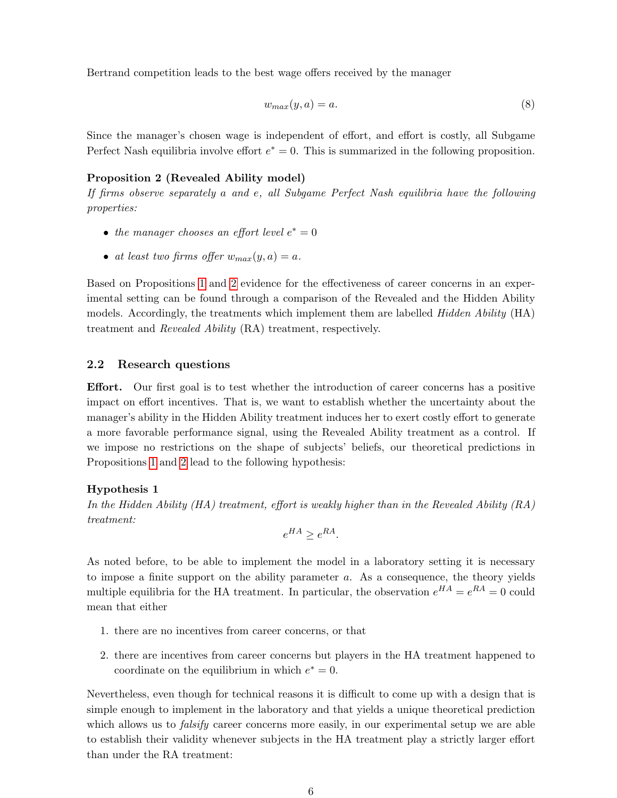Bertrand competition leads to the best wage offers received by the manager

$$
w_{max}(y, a) = a.\t\t(8)
$$

Since the manager's chosen wage is independent of effort, and effort is costly, all Subgame Perfect Nash equilibria involve effort  $e^* = 0$ . This is summarized in the following proposition.

#### <span id="page-5-0"></span>Proposition 2 (Revealed Ability model)

If firms observe separately a and e, all Subgame Perfect Nash equilibria have the following properties:

- the manager chooses an effort level  $e^* = 0$
- at least two firms offer  $w_{max}(y, a) = a$ .

Based on Propositions [1](#page-4-1) and [2](#page-5-0) evidence for the effectiveness of career concerns in an experimental setting can be found through a comparison of the Revealed and the Hidden Ability models. Accordingly, the treatments which implement them are labelled *Hidden Ability* (HA) treatment and Revealed Ability (RA) treatment, respectively.

### 2.2 Research questions

Effort. Our first goal is to test whether the introduction of career concerns has a positive impact on effort incentives. That is, we want to establish whether the uncertainty about the manager's ability in the Hidden Ability treatment induces her to exert costly effort to generate a more favorable performance signal, using the Revealed Ability treatment as a control. If we impose no restrictions on the shape of subjects' beliefs, our theoretical predictions in Propositions [1](#page-4-1) and [2](#page-5-0) lead to the following hypothesis:

#### <span id="page-5-1"></span>Hypothesis 1

In the Hidden Ability (HA) treatment, effort is weakly higher than in the Revealed Ability  $(RA)$ treatment:

$$
e^{HA} \ge e^{RA}.
$$

As noted before, to be able to implement the model in a laboratory setting it is necessary to impose a finite support on the ability parameter  $a$ . As a consequence, the theory yields multiple equilibria for the HA treatment. In particular, the observation  $e^{HA} = e^{RA} = 0$  could mean that either

- 1. there are no incentives from career concerns, or that
- 2. there are incentives from career concerns but players in the HA treatment happened to coordinate on the equilibrium in which  $e^* = 0$ .

<span id="page-5-2"></span>Nevertheless, even though for technical reasons it is difficult to come up with a design that is simple enough to implement in the laboratory and that yields a unique theoretical prediction which allows us to *falsify* career concerns more easily, in our experimental setup we are able to establish their validity whenever subjects in the HA treatment play a strictly larger effort than under the RA treatment: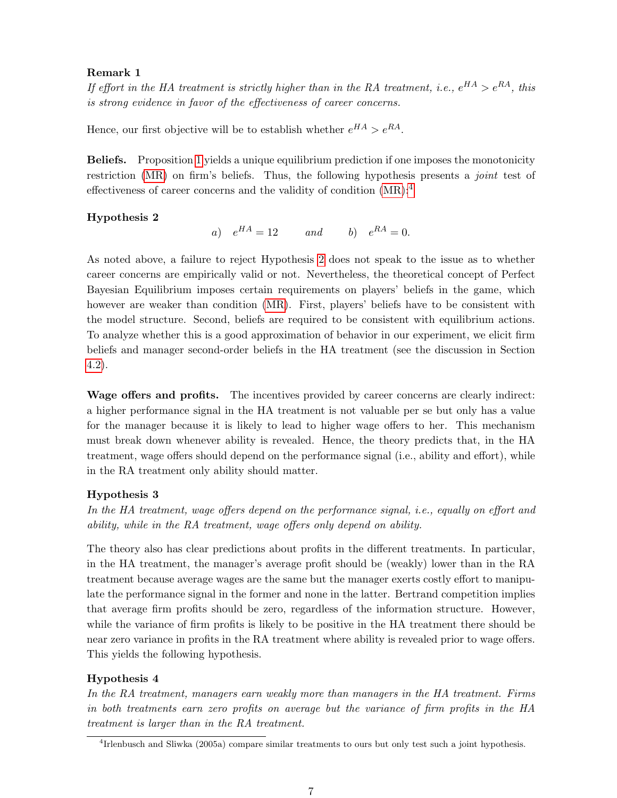### Remark 1

If effort in the HA treatment is strictly higher than in the RA treatment, i.e.,  $e^{HA} > e^{RA}$ , this is strong evidence in favor of the effectiveness of career concerns.

Hence, our first objective will be to establish whether  $e^{HA} > e^{RA}$ .

Beliefs. Proposition [1](#page-4-1) yields a unique equilibrium prediction if one imposes the monotonicity restriction [\(MR\)](#page-4-0) on firm's beliefs. Thus, the following hypothesis presents a *joint* test of effectiveness of career concerns and the validity of condition [\(MR\)](#page-4-0):[4](#page-0-0)

#### <span id="page-6-0"></span>Hypothesis 2

a)  $e^{HA} = 12$  and b)  $e^{RA} = 0$ .

As noted above, a failure to reject Hypothesis [2](#page-6-0) does not speak to the issue as to whether career concerns are empirically valid or not. Nevertheless, the theoretical concept of Perfect Bayesian Equilibrium imposes certain requirements on players' beliefs in the game, which however are weaker than condition [\(MR\)](#page-4-0). First, players' beliefs have to be consistent with the model structure. Second, beliefs are required to be consistent with equilibrium actions. To analyze whether this is a good approximation of behavior in our experiment, we elicit firm beliefs and manager second-order beliefs in the HA treatment (see the discussion in Section [4.2\)](#page-9-0).

Wage offers and profits. The incentives provided by career concerns are clearly indirect: a higher performance signal in the HA treatment is not valuable per se but only has a value for the manager because it is likely to lead to higher wage offers to her. This mechanism must break down whenever ability is revealed. Hence, the theory predicts that, in the HA treatment, wage offers should depend on the performance signal (i.e., ability and effort), while in the RA treatment only ability should matter.

### <span id="page-6-1"></span>Hypothesis 3

In the HA treatment, wage offers depend on the performance signal, i.e., equally on effort and ability, while in the RA treatment, wage offers only depend on ability.

The theory also has clear predictions about profits in the different treatments. In particular, in the HA treatment, the manager's average profit should be (weakly) lower than in the RA treatment because average wages are the same but the manager exerts costly effort to manipulate the performance signal in the former and none in the latter. Bertrand competition implies that average firm profits should be zero, regardless of the information structure. However, while the variance of firm profits is likely to be positive in the HA treatment there should be near zero variance in profits in the RA treatment where ability is revealed prior to wage offers. This yields the following hypothesis.

### <span id="page-6-2"></span>Hypothesis 4

In the RA treatment, managers earn weakly more than managers in the HA treatment. Firms in both treatments earn zero profits on average but the variance of firm profits in the HA treatment is larger than in the RA treatment.

<sup>4</sup> Irlenbusch and Sliwka (2005a) compare similar treatments to ours but only test such a joint hypothesis.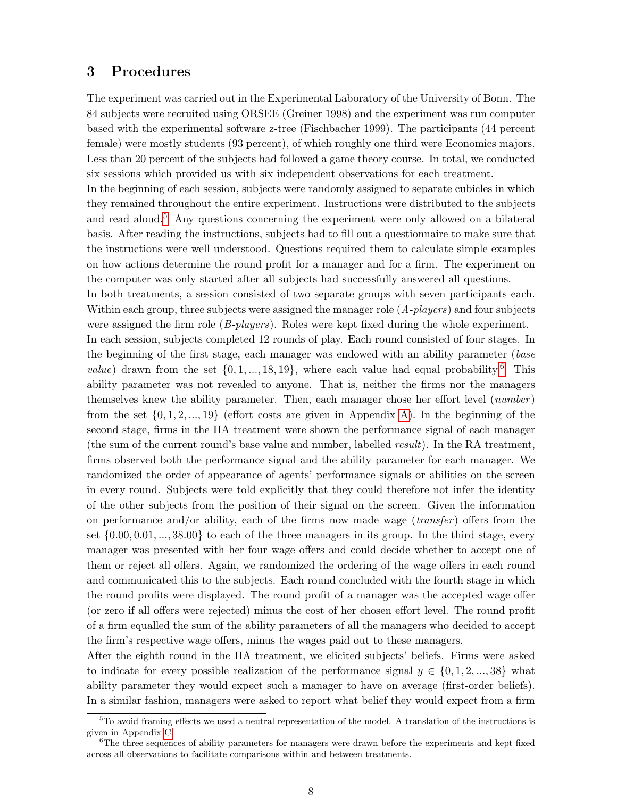## <span id="page-7-0"></span>3 Procedures

The experiment was carried out in the Experimental Laboratory of the University of Bonn. The 84 subjects were recruited using ORSEE (Greiner 1998) and the experiment was run computer based with the experimental software z-tree (Fischbacher 1999). The participants (44 percent female) were mostly students (93 percent), of which roughly one third were Economics majors. Less than 20 percent of the subjects had followed a game theory course. In total, we conducted six sessions which provided us with six independent observations for each treatment.

In the beginning of each session, subjects were randomly assigned to separate cubicles in which they remained throughout the entire experiment. Instructions were distributed to the subjects and read aloud.<sup>[5](#page-0-0)</sup> Any questions concerning the experiment were only allowed on a bilateral basis. After reading the instructions, subjects had to fill out a questionnaire to make sure that the instructions were well understood. Questions required them to calculate simple examples on how actions determine the round profit for a manager and for a firm. The experiment on the computer was only started after all subjects had successfully answered all questions.

In both treatments, a session consisted of two separate groups with seven participants each. Within each group, three subjects were assigned the manager role  $(A$ -players) and four subjects were assigned the firm role (B-players). Roles were kept fixed during the whole experiment. In each session, subjects completed 12 rounds of play. Each round consisted of four stages. In the beginning of the first stage, each manager was endowed with an ability parameter (base *value*) drawn from the set  $\{0, 1, ..., 18, 19\}$ , where each value had equal probability.<sup>[6](#page-0-0)</sup> This ability parameter was not revealed to anyone. That is, neither the firms nor the managers themselves knew the ability parameter. Then, each manager chose her effort level  $(number)$ from the set  $\{0, 1, 2, ..., 19\}$  (effort costs are given in Appendix [A\)](#page-18-0). In the beginning of the second stage, firms in the HA treatment were shown the performance signal of each manager (the sum of the current round's base value and number, labelled result). In the RA treatment, firms observed both the performance signal and the ability parameter for each manager. We randomized the order of appearance of agents' performance signals or abilities on the screen in every round. Subjects were told explicitly that they could therefore not infer the identity of the other subjects from the position of their signal on the screen. Given the information on performance and/or ability, each of the firms now made wage  $(transfer)$  offers from the set  $\{0.00, 0.01, \ldots, 38.00\}$  to each of the three managers in its group. In the third stage, every manager was presented with her four wage offers and could decide whether to accept one of them or reject all offers. Again, we randomized the ordering of the wage offers in each round and communicated this to the subjects. Each round concluded with the fourth stage in which the round profits were displayed. The round profit of a manager was the accepted wage offer (or zero if all offers were rejected) minus the cost of her chosen effort level. The round profit of a firm equalled the sum of the ability parameters of all the managers who decided to accept the firm's respective wage offers, minus the wages paid out to these managers.

After the eighth round in the HA treatment, we elicited subjects' beliefs. Firms were asked to indicate for every possible realization of the performance signal  $y \in \{0, 1, 2, ..., 38\}$  what ability parameter they would expect such a manager to have on average (first-order beliefs). In a similar fashion, managers were asked to report what belief they would expect from a firm

<sup>&</sup>lt;sup>5</sup>To avoid framing effects we used a neutral representation of the model. A translation of the instructions is given in Appendix [C.](#page-22-0)

<sup>&</sup>lt;sup>6</sup>The three sequences of ability parameters for managers were drawn before the experiments and kept fixed across all observations to facilitate comparisons within and between treatments.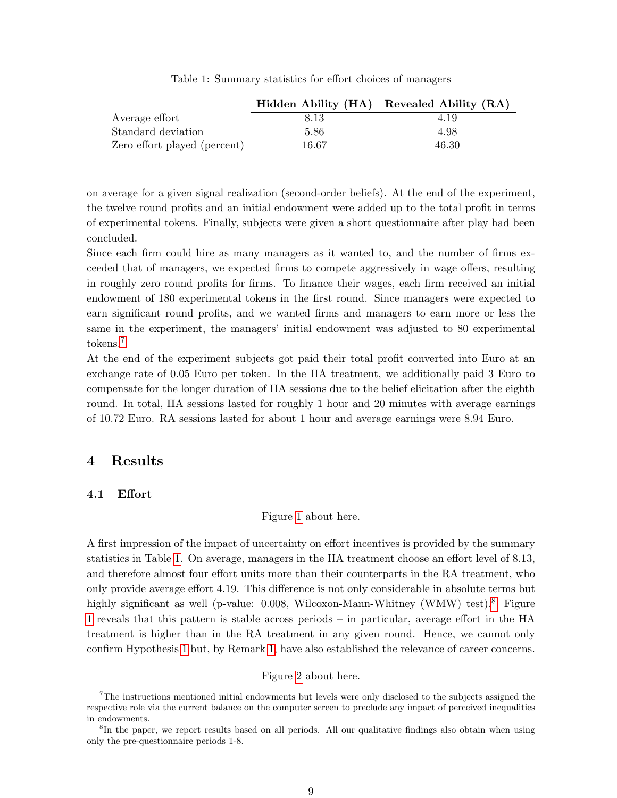|                              |       | Hidden Ability (HA) Revealed Ability (RA) |
|------------------------------|-------|-------------------------------------------|
| Average effort               | 8.13  | 4.19                                      |
| Standard deviation           | 5.86  | 4.98                                      |
| Zero effort played (percent) | 16.67 | 46.30                                     |

<span id="page-8-1"></span>Table 1: Summary statistics for effort choices of managers

on average for a given signal realization (second-order beliefs). At the end of the experiment, the twelve round profits and an initial endowment were added up to the total profit in terms of experimental tokens. Finally, subjects were given a short questionnaire after play had been concluded.

Since each firm could hire as many managers as it wanted to, and the number of firms exceeded that of managers, we expected firms to compete aggressively in wage offers, resulting in roughly zero round profits for firms. To finance their wages, each firm received an initial endowment of 180 experimental tokens in the first round. Since managers were expected to earn significant round profits, and we wanted firms and managers to earn more or less the same in the experiment, the managers' initial endowment was adjusted to 80 experimental tokens.[7](#page-0-0)

At the end of the experiment subjects got paid their total profit converted into Euro at an exchange rate of 0.05 Euro per token. In the HA treatment, we additionally paid 3 Euro to compensate for the longer duration of HA sessions due to the belief elicitation after the eighth round. In total, HA sessions lasted for roughly 1 hour and 20 minutes with average earnings of 10.72 Euro. RA sessions lasted for about 1 hour and average earnings were 8.94 Euro.

## <span id="page-8-0"></span>4 Results

### <span id="page-8-2"></span>4.1 Effort

### Figure [1](#page-25-0) about here.

A first impression of the impact of uncertainty on effort incentives is provided by the summary statistics in Table [1.](#page-8-1) On average, managers in the HA treatment choose an effort level of 8.13, and therefore almost four effort units more than their counterparts in the RA treatment, who only provide average effort 4.19. This difference is not only considerable in absolute terms but highly significant as well (p-value: 0.00[8](#page-0-0), Wilcoxon-Mann-Whitney (WMW) test).<sup>8</sup> Figure [1](#page-25-0) reveals that this pattern is stable across periods – in particular, average effort in the HA treatment is higher than in the RA treatment in any given round. Hence, we cannot only confirm Hypothesis [1](#page-5-1) but, by Remark [1,](#page-5-2) have also established the relevance of career concerns.

Figure [2](#page-26-0) about here.

<sup>7</sup>The instructions mentioned initial endowments but levels were only disclosed to the subjects assigned the respective role via the current balance on the computer screen to preclude any impact of perceived inequalities in endowments.

<sup>&</sup>lt;sup>8</sup>In the paper, we report results based on all periods. All our qualitative findings also obtain when using only the pre-questionnaire periods 1-8.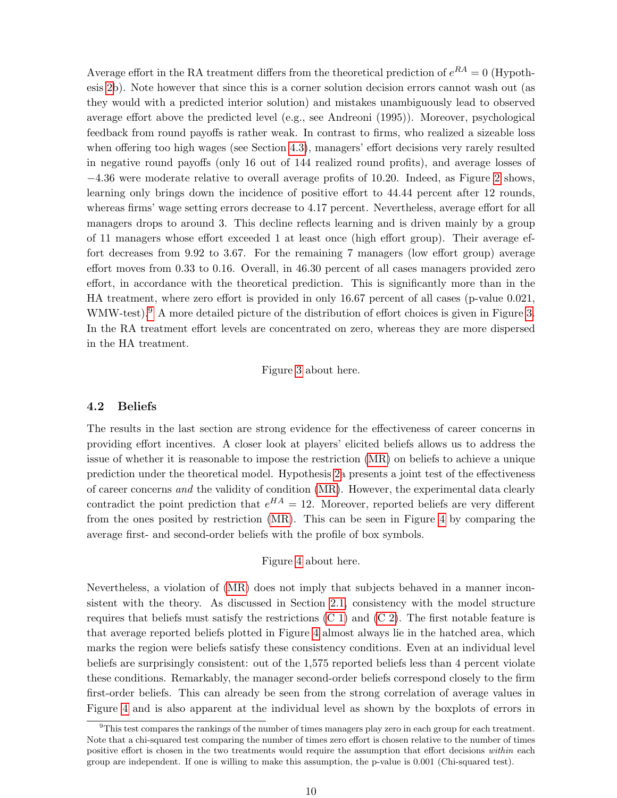Average effort in the RA treatment differs from the theoretical prediction of  $e^{RA} = 0$  (Hypothesis [2b](#page-6-0)). Note however that since this is a corner solution decision errors cannot wash out (as they would with a predicted interior solution) and mistakes unambiguously lead to observed average effort above the predicted level (e.g., see Andreoni (1995)). Moreover, psychological feedback from round payoffs is rather weak. In contrast to firms, who realized a sizeable loss when offering too high wages (see Section [4.3\)](#page-11-0), managers' effort decisions very rarely resulted in negative round payoffs (only 16 out of 144 realized round profits), and average losses of −4.36 were moderate relative to overall average profits of 10.20. Indeed, as Figure [2](#page-26-0) shows, learning only brings down the incidence of positive effort to 44.44 percent after 12 rounds, whereas firms' wage setting errors decrease to 4.17 percent. Nevertheless, average effort for all managers drops to around 3. This decline reflects learning and is driven mainly by a group of 11 managers whose effort exceeded 1 at least once (high effort group). Their average effort decreases from 9.92 to 3.67. For the remaining 7 managers (low effort group) average effort moves from 0.33 to 0.16. Overall, in 46.30 percent of all cases managers provided zero effort, in accordance with the theoretical prediction. This is significantly more than in the HA treatment, where zero effort is provided in only 16.67 percent of all cases (p-value 0.021, WMW-test).<sup>[9](#page-0-0)</sup> A more detailed picture of the distribution of effort choices is given in Figure [3.](#page-27-0) In the RA treatment effort levels are concentrated on zero, whereas they are more dispersed in the HA treatment.

### Figure [3](#page-27-0) about here.

#### <span id="page-9-0"></span>4.2 Beliefs

The results in the last section are strong evidence for the effectiveness of career concerns in providing effort incentives. A closer look at players' elicited beliefs allows us to address the issue of whether it is reasonable to impose the restriction [\(MR\)](#page-4-0) on beliefs to achieve a unique prediction under the theoretical model. Hypothesis [2a](#page-6-0) presents a joint test of the effectiveness of career concerns and the validity of condition [\(MR\)](#page-4-0). However, the experimental data clearly contradict the point prediction that  $e^{HA} = 12$ . Moreover, reported beliefs are very different from the ones posited by restriction [\(MR\)](#page-4-0). This can be seen in Figure [4](#page-28-0) by comparing the average first- and second-order beliefs with the profile of box symbols.

#### Figure [4](#page-28-0) about here.

Nevertheless, a violation of [\(MR\)](#page-4-0) does not imply that subjects behaved in a manner inconsistent with the theory. As discussed in Section [2.1,](#page-2-1) consistency with the model structure requires that beliefs must satisfy the restrictions  $(C 1)$  and  $(C 2)$ . The first notable feature is that average reported beliefs plotted in Figure [4](#page-28-0) almost always lie in the hatched area, which marks the region were beliefs satisfy these consistency conditions. Even at an individual level beliefs are surprisingly consistent: out of the 1,575 reported beliefs less than 4 percent violate these conditions. Remarkably, the manager second-order beliefs correspond closely to the firm first-order beliefs. This can already be seen from the strong correlation of average values in Figure [4](#page-28-0) and is also apparent at the individual level as shown by the boxplots of errors in

<sup>9</sup>This test compares the rankings of the number of times managers play zero in each group for each treatment. Note that a chi-squared test comparing the number of times zero effort is chosen relative to the number of times positive effort is chosen in the two treatments would require the assumption that effort decisions within each group are independent. If one is willing to make this assumption, the p-value is 0.001 (Chi-squared test).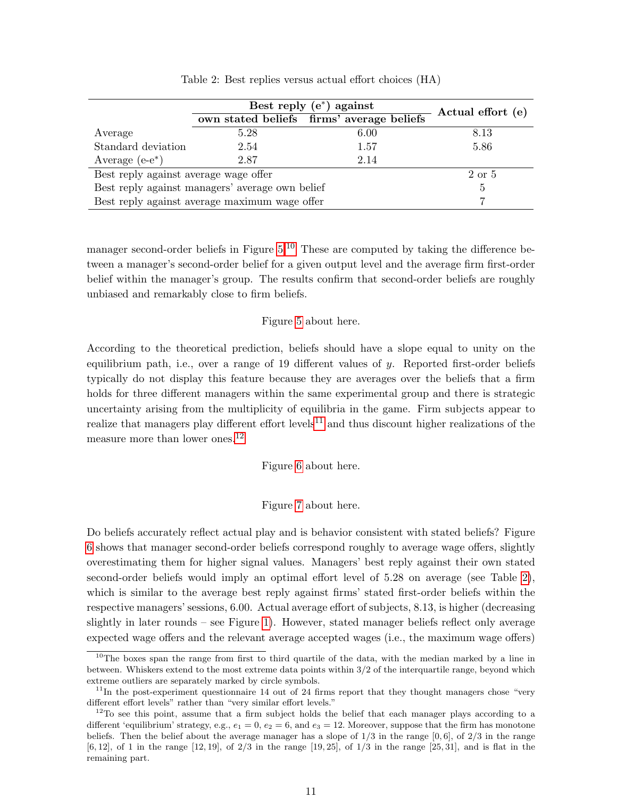|                                                 |                                               | Best reply $(e^*)$ against                | Actual effort (e) |
|-------------------------------------------------|-----------------------------------------------|-------------------------------------------|-------------------|
|                                                 |                                               | own stated beliefs firms' average beliefs |                   |
| Average                                         | 5.28                                          | 6.00                                      | 8.13              |
| Standard deviation                              | 2.54                                          | 1.57                                      | 5.86              |
| Average $(e-e^*)$                               | 2.87                                          | 2.14                                      |                   |
| Best reply against average wage offer           |                                               |                                           | 2 or 5            |
| Best reply against managers' average own belief | 5                                             |                                           |                   |
|                                                 | Best reply against average maximum wage offer |                                           |                   |

<span id="page-10-0"></span>Table 2: Best replies versus actual effort choices (HA)

manager second-order beliefs in Figure [5.](#page-29-0)<sup>[10](#page-0-0)</sup> These are computed by taking the difference between a manager's second-order belief for a given output level and the average firm first-order belief within the manager's group. The results confirm that second-order beliefs are roughly unbiased and remarkably close to firm beliefs.

#### Figure [5](#page-29-0) about here.

According to the theoretical prediction, beliefs should have a slope equal to unity on the equilibrium path, i.e., over a range of 19 different values of y. Reported first-order beliefs typically do not display this feature because they are averages over the beliefs that a firm holds for three different managers within the same experimental group and there is strategic uncertainty arising from the multiplicity of equilibria in the game. Firm subjects appear to realize that managers play different effort levels<sup>[11](#page-0-0)</sup> and thus discount higher realizations of the measure more than lower ones.<sup>[12](#page-0-0)</sup>

### Figure [6](#page-30-0) about here.

#### Figure [7](#page-31-0) about here.

Do beliefs accurately reflect actual play and is behavior consistent with stated beliefs? Figure [6](#page-30-0) shows that manager second-order beliefs correspond roughly to average wage offers, slightly overestimating them for higher signal values. Managers' best reply against their own stated second-order beliefs would imply an optimal effort level of 5.28 on average (see Table [2\)](#page-10-0), which is similar to the average best reply against firms' stated first-order beliefs within the respective managers' sessions, 6.00. Actual average effort of subjects, 8.13, is higher (decreasing slightly in later rounds – see Figure [1\)](#page-25-0). However, stated manager beliefs reflect only average expected wage offers and the relevant average accepted wages (i.e., the maximum wage offers)

<sup>&</sup>lt;sup>10</sup>The boxes span the range from first to third quartile of the data, with the median marked by a line in between. Whiskers extend to the most extreme data points within 3/2 of the interquartile range, beyond which extreme outliers are separately marked by circle symbols.

 $11$ In the post-experiment questionnaire 14 out of 24 firms report that they thought managers chose "very" different effort levels" rather than "very similar effort levels."

 $12$ To see this point, assume that a firm subject holds the belief that each manager plays according to a different 'equilibrium' strategy, e.g.,  $e_1 = 0$ ,  $e_2 = 6$ , and  $e_3 = 12$ . Moreover, suppose that the firm has monotone beliefs. Then the belief about the average manager has a slope of  $1/3$  in the range  $[0, 6]$ , of  $2/3$  in the range [6, 12], of 1 in the range [12, 19], of 2/3 in the range [19, 25], of 1/3 in the range [25, 31], and is flat in the remaining part.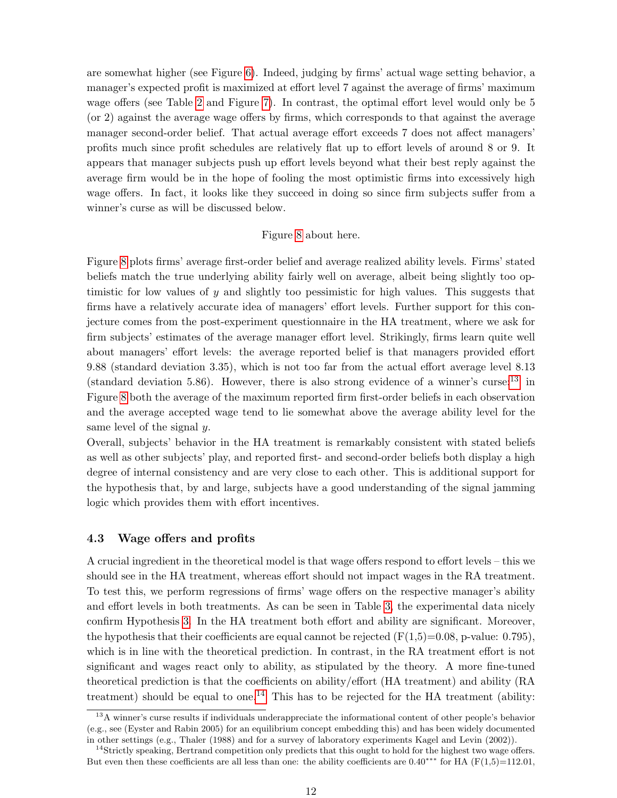are somewhat higher (see Figure [6\)](#page-30-0). Indeed, judging by firms' actual wage setting behavior, a manager's expected profit is maximized at effort level 7 against the average of firms' maximum wage offers (see Table [2](#page-10-0) and Figure [7\)](#page-31-0). In contrast, the optimal effort level would only be 5 (or 2) against the average wage offers by firms, which corresponds to that against the average manager second-order belief. That actual average effort exceeds 7 does not affect managers' profits much since profit schedules are relatively flat up to effort levels of around 8 or 9. It appears that manager subjects push up effort levels beyond what their best reply against the average firm would be in the hope of fooling the most optimistic firms into excessively high wage offers. In fact, it looks like they succeed in doing so since firm subjects suffer from a winner's curse as will be discussed below.

#### Figure [8](#page-32-0) about here.

Figure [8](#page-32-0) plots firms' average first-order belief and average realized ability levels. Firms' stated beliefs match the true underlying ability fairly well on average, albeit being slightly too optimistic for low values of  $y$  and slightly too pessimistic for high values. This suggests that firms have a relatively accurate idea of managers' effort levels. Further support for this conjecture comes from the post-experiment questionnaire in the HA treatment, where we ask for firm subjects' estimates of the average manager effort level. Strikingly, firms learn quite well about managers' effort levels: the average reported belief is that managers provided effort 9.88 (standard deviation 3.35), which is not too far from the actual effort average level 8.13 (standard deviation 5.86). However, there is also strong evidence of a winner's curse:  $13$  in Figure [8](#page-32-0) both the average of the maximum reported firm first-order beliefs in each observation and the average accepted wage tend to lie somewhat above the average ability level for the same level of the signal y.

Overall, subjects' behavior in the HA treatment is remarkably consistent with stated beliefs as well as other subjects' play, and reported first- and second-order beliefs both display a high degree of internal consistency and are very close to each other. This is additional support for the hypothesis that, by and large, subjects have a good understanding of the signal jamming logic which provides them with effort incentives.

### <span id="page-11-0"></span>4.3 Wage offers and profits

A crucial ingredient in the theoretical model is that wage offers respond to effort levels – this we should see in the HA treatment, whereas effort should not impact wages in the RA treatment. To test this, we perform regressions of firms' wage offers on the respective manager's ability and effort levels in both treatments. As can be seen in Table [3,](#page-12-0) the experimental data nicely confirm Hypothesis [3.](#page-6-1) In the HA treatment both effort and ability are significant. Moreover, the hypothesis that their coefficients are equal cannot be rejected  $(F(1,5)=0.08, p-value: 0.795)$ , which is in line with the theoretical prediction. In contrast, in the RA treatment effort is not significant and wages react only to ability, as stipulated by the theory. A more fine-tuned theoretical prediction is that the coefficients on ability/effort (HA treatment) and ability (RA treatment) should be equal to one.<sup>[14](#page-0-0)</sup> This has to be rejected for the HA treatment (ability:

<sup>13</sup>A winner's curse results if individuals underappreciate the informational content of other people's behavior (e.g., see (Eyster and Rabin 2005) for an equilibrium concept embedding this) and has been widely documented in other settings (e.g., Thaler (1988) and for a survey of laboratory experiments Kagel and Levin (2002)).

<sup>&</sup>lt;sup>14</sup>Strictly speaking, Bertrand competition only predicts that this ought to hold for the highest two wage offers. But even then these coefficients are all less than one: the ability coefficients are  $0.40***$  for HA (F(1,5)=112.01,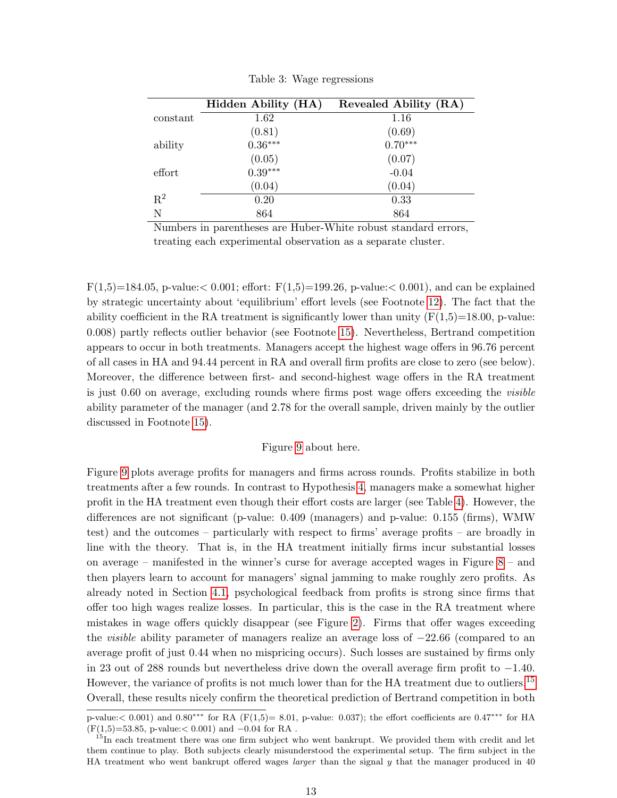|                | Hidden Ability (HA)                                 | Revealed Ability (RA) |
|----------------|-----------------------------------------------------|-----------------------|
| constant       | 1.62                                                | 1.16                  |
|                | $(0.81)$<br>$0.36***$                               | $(0.69)$<br>$0.70***$ |
| ability        |                                                     |                       |
|                | $\begin{array}{c} (0.05) \\ 0.39^{***} \end{array}$ | (0.07)                |
| effort         |                                                     | $-0.04$               |
|                | (0.04)                                              | (0.04)                |
| $\mathbf{R}^2$ | 0.20                                                | 0.33                  |
| N              | 864                                                 | 864                   |

<span id="page-12-0"></span>Table 3: Wage regressions

Numbers in parentheses are Huber-White robust standard errors, treating each experimental observation as a separate cluster.

 $F(1,5)=184.05$ , p-value:  $0.001$ ; effort:  $F(1,5)=199.26$ , p-value:  $0.001$ ), and can be explained by strategic uncertainty about 'equilibrium' effort levels (see Footnote [12\)](#page-9-0). The fact that the ability coefficient in the RA treatment is significantly lower than unity  $(F(1,5)=18.00, p-value$ : 0.008) partly reflects outlier behavior (see Footnote [15\)](#page-12-0). Nevertheless, Bertrand competition appears to occur in both treatments. Managers accept the highest wage offers in 96.76 percent of all cases in HA and 94.44 percent in RA and overall firm profits are close to zero (see below). Moreover, the difference between first- and second-highest wage offers in the RA treatment is just 0.60 on average, excluding rounds where firms post wage offers exceeding the visible ability parameter of the manager (and 2.78 for the overall sample, driven mainly by the outlier discussed in Footnote [15\)](#page-12-0).

#### Figure [9](#page-33-0) about here.

Figure [9](#page-33-0) plots average profits for managers and firms across rounds. Profits stabilize in both treatments after a few rounds. In contrast to Hypothesis [4,](#page-6-2) managers make a somewhat higher profit in the HA treatment even though their effort costs are larger (see Table [4\)](#page-13-1). However, the differences are not significant (p-value: 0.409 (managers) and p-value: 0.155 (firms), WMW test) and the outcomes – particularly with respect to firms' average profits – are broadly in line with the theory. That is, in the HA treatment initially firms incur substantial losses on average – manifested in the winner's curse for average accepted wages in Figure [8](#page-32-0) – and then players learn to account for managers' signal jamming to make roughly zero profits. As already noted in Section [4.1,](#page-8-2) psychological feedback from profits is strong since firms that offer too high wages realize losses. In particular, this is the case in the RA treatment where mistakes in wage offers quickly disappear (see Figure [2\)](#page-26-0). Firms that offer wages exceeding the visible ability parameter of managers realize an average loss of −22.66 (compared to an average profit of just 0.44 when no mispricing occurs). Such losses are sustained by firms only in 23 out of 288 rounds but nevertheless drive down the overall average firm profit to −1.40. However, the variance of profits is not much lower than for the HA treatment due to outliers.<sup>[15](#page-0-0)</sup> Overall, these results nicely confirm the theoretical prediction of Bertrand competition in both

p-value:< 0.001) and 0.80∗∗∗ for RA (F(1,5)= 8.01, p-value: 0.037); the effort coefficients are 0.47∗∗∗ for HA  $(F(1,5)=53.85, p-value: < 0.001)$  and  $-0.04$  for RA.

 $^{15}$ In each treatment there was one firm subject who went bankrupt. We provided them with credit and let them continue to play. Both subjects clearly misunderstood the experimental setup. The firm subject in the HA treatment who went bankrupt offered wages *larger* than the signal y that the manager produced in 40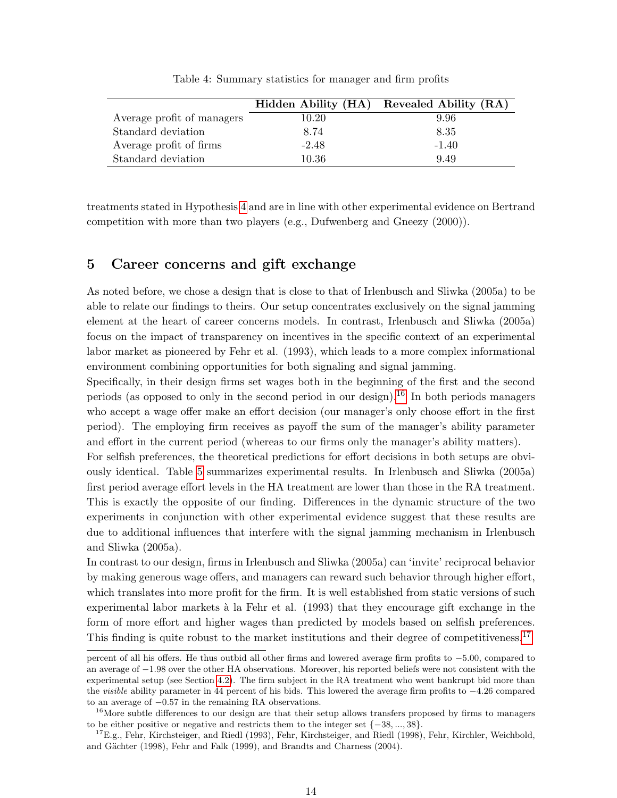|                            | Hidden Ability (HA) | Revealed Ability (RA) |
|----------------------------|---------------------|-----------------------|
| Average profit of managers | 10.20               | 9.96                  |
| Standard deviation         | 8.74                | 8.35                  |
| Average profit of firms    | $-2.48$             | $-1.40$               |
| Standard deviation         | 10.36               | 9.49                  |

<span id="page-13-1"></span>Table 4: Summary statistics for manager and firm profits

treatments stated in Hypothesis [4](#page-6-2) and are in line with other experimental evidence on Bertrand competition with more than two players (e.g., Dufwenberg and Gneezy (2000)).

## <span id="page-13-0"></span>5 Career concerns and gift exchange

As noted before, we chose a design that is close to that of Irlenbusch and Sliwka (2005a) to be able to relate our findings to theirs. Our setup concentrates exclusively on the signal jamming element at the heart of career concerns models. In contrast, Irlenbusch and Sliwka (2005a) focus on the impact of transparency on incentives in the specific context of an experimental labor market as pioneered by Fehr et al. (1993), which leads to a more complex informational environment combining opportunities for both signaling and signal jamming.

Specifically, in their design firms set wages both in the beginning of the first and the second periods (as opposed to only in the second period in our design).[16](#page-0-0) In both periods managers who accept a wage offer make an effort decision (our manager's only choose effort in the first period). The employing firm receives as payoff the sum of the manager's ability parameter and effort in the current period (whereas to our firms only the manager's ability matters).

For selfish preferences, the theoretical predictions for effort decisions in both setups are obviously identical. Table [5](#page-14-0) summarizes experimental results. In Irlenbusch and Sliwka (2005a) first period average effort levels in the HA treatment are lower than those in the RA treatment. This is exactly the opposite of our finding. Differences in the dynamic structure of the two experiments in conjunction with other experimental evidence suggest that these results are due to additional influences that interfere with the signal jamming mechanism in Irlenbusch and Sliwka (2005a).

In contrast to our design, firms in Irlenbusch and Sliwka (2005a) can 'invite' reciprocal behavior by making generous wage offers, and managers can reward such behavior through higher effort, which translates into more profit for the firm. It is well established from static versions of such experimental labor markets à la Fehr et al. (1993) that they encourage gift exchange in the form of more effort and higher wages than predicted by models based on selfish preferences. This finding is quite robust to the market institutions and their degree of competitiveness.<sup>[17](#page-0-0)</sup>

percent of all his offers. He thus outbid all other firms and lowered average firm profits to −5.00, compared to an average of −1.98 over the other HA observations. Moreover, his reported beliefs were not consistent with the experimental setup (see Section [4.2\)](#page-9-0). The firm subject in the RA treatment who went bankrupt bid more than the visible ability parameter in 44 percent of his bids. This lowered the average firm profits to −4.26 compared to an average of −0.57 in the remaining RA observations.

<sup>&</sup>lt;sup>16</sup>More subtle differences to our design are that their setup allows transfers proposed by firms to managers to be either positive or negative and restricts them to the integer set {−38, ..., 38}.

<sup>&</sup>lt;sup>17</sup>E.g., Fehr, Kirchsteiger, and Riedl (1993), Fehr, Kirchsteiger, and Riedl (1998), Fehr, Kirchler, Weichbold, and Gächter (1998), Fehr and Falk (1999), and Brandts and Charness (2004).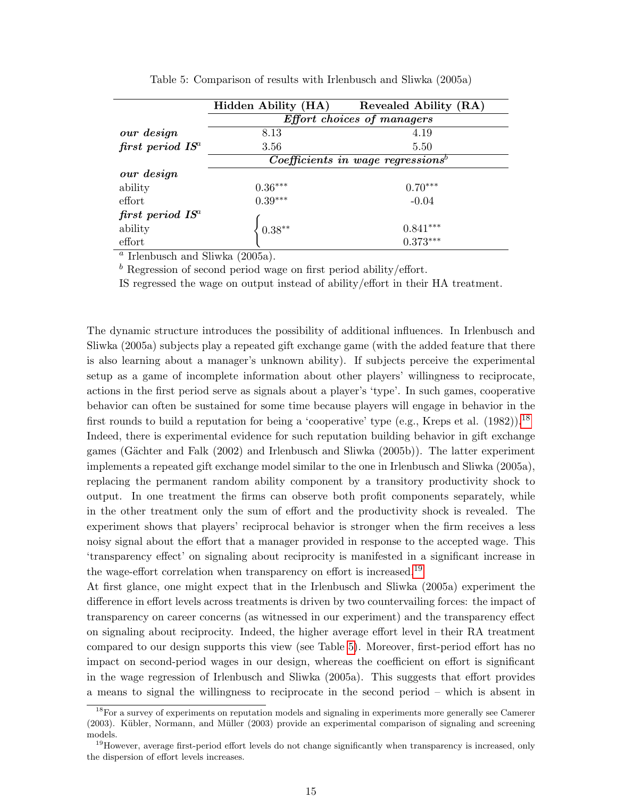|                       | Hidden Ability (HA) | Revealed Ability (RA)                           |
|-----------------------|---------------------|-------------------------------------------------|
|                       |                     | Effort choices of managers                      |
| our design            | 8.13                | 4.19                                            |
| first period $IS^a$   | 3.56                | 5.50                                            |
|                       |                     | $Coefficients$ in wage regressions <sup>b</sup> |
| our design            |                     |                                                 |
| ability               | $0.36***$           | $0.70***$                                       |
| effort                | $0.39***$           | $-0.04$                                         |
| $first\ period\ IS^a$ |                     |                                                 |
| ability               | $0.38**$            | $0.841***$                                      |
| effort                |                     | $0.373***$                                      |

<span id="page-14-0"></span>Table 5: Comparison of results with Irlenbusch and Sliwka (2005a)

 $a$  Irlenbusch and Sliwka  $(2005a)$ .

 $\bar{b}$  Regression of second period wage on first period ability/effort.

IS regressed the wage on output instead of ability/effort in their HA treatment.

The dynamic structure introduces the possibility of additional influences. In Irlenbusch and Sliwka (2005a) subjects play a repeated gift exchange game (with the added feature that there is also learning about a manager's unknown ability). If subjects perceive the experimental setup as a game of incomplete information about other players' willingness to reciprocate, actions in the first period serve as signals about a player's 'type'. In such games, cooperative behavior can often be sustained for some time because players will engage in behavior in the first rounds to build a reputation for being a 'cooperative' type (e.g., Kreps et al.  $(1982)$ ).<sup>[18](#page-0-0)</sup> Indeed, there is experimental evidence for such reputation building behavior in gift exchange games (Gächter and Falk (2002) and Irlenbusch and Sliwka (2005b)). The latter experiment implements a repeated gift exchange model similar to the one in Irlenbusch and Sliwka (2005a), replacing the permanent random ability component by a transitory productivity shock to output. In one treatment the firms can observe both profit components separately, while in the other treatment only the sum of effort and the productivity shock is revealed. The experiment shows that players' reciprocal behavior is stronger when the firm receives a less noisy signal about the effort that a manager provided in response to the accepted wage. This 'transparency effect' on signaling about reciprocity is manifested in a significant increase in the wage-effort correlation when transparency on effort is increased.<sup>[19](#page-0-0)</sup>

At first glance, one might expect that in the Irlenbusch and Sliwka (2005a) experiment the difference in effort levels across treatments is driven by two countervailing forces: the impact of transparency on career concerns (as witnessed in our experiment) and the transparency effect on signaling about reciprocity. Indeed, the higher average effort level in their RA treatment compared to our design supports this view (see Table [5\)](#page-14-0). Moreover, first-period effort has no impact on second-period wages in our design, whereas the coefficient on effort is significant in the wage regression of Irlenbusch and Sliwka (2005a). This suggests that effort provides a means to signal the willingness to reciprocate in the second period – which is absent in

<sup>&</sup>lt;sup>18</sup>For a survey of experiments on reputation models and signaling in experiments more generally see Camerer (2003). Kübler, Normann, and Müller (2003) provide an experimental comparison of signaling and screening models.

<sup>&</sup>lt;sup>19</sup>However, average first-period effort levels do not change significantly when transparency is increased, only the dispersion of effort levels increases.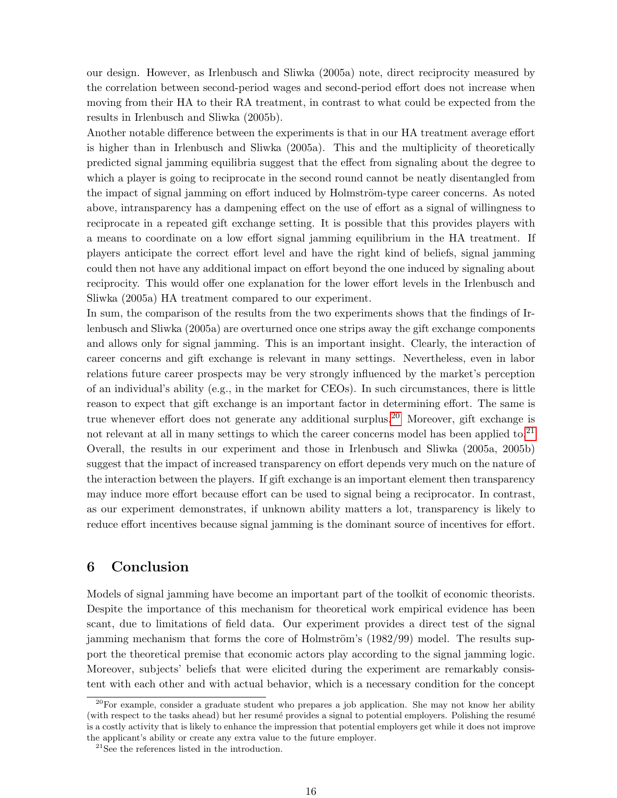our design. However, as Irlenbusch and Sliwka (2005a) note, direct reciprocity measured by the correlation between second-period wages and second-period effort does not increase when moving from their HA to their RA treatment, in contrast to what could be expected from the results in Irlenbusch and Sliwka (2005b).

Another notable difference between the experiments is that in our HA treatment average effort is higher than in Irlenbusch and Sliwka (2005a). This and the multiplicity of theoretically predicted signal jamming equilibria suggest that the effect from signaling about the degree to which a player is going to reciprocate in the second round cannot be neatly disentangled from the impact of signal jamming on effort induced by Holmström-type career concerns. As noted above, intransparency has a dampening effect on the use of effort as a signal of willingness to reciprocate in a repeated gift exchange setting. It is possible that this provides players with a means to coordinate on a low effort signal jamming equilibrium in the HA treatment. If players anticipate the correct effort level and have the right kind of beliefs, signal jamming could then not have any additional impact on effort beyond the one induced by signaling about reciprocity. This would offer one explanation for the lower effort levels in the Irlenbusch and Sliwka (2005a) HA treatment compared to our experiment.

In sum, the comparison of the results from the two experiments shows that the findings of Irlenbusch and Sliwka (2005a) are overturned once one strips away the gift exchange components and allows only for signal jamming. This is an important insight. Clearly, the interaction of career concerns and gift exchange is relevant in many settings. Nevertheless, even in labor relations future career prospects may be very strongly influenced by the market's perception of an individual's ability (e.g., in the market for CEOs). In such circumstances, there is little reason to expect that gift exchange is an important factor in determining effort. The same is true whenever effort does not generate any additional surplus.<sup>[20](#page-0-0)</sup> Moreover, gift exchange is not relevant at all in many settings to which the career concerns model has been applied to.<sup>[21](#page-0-0)</sup> Overall, the results in our experiment and those in Irlenbusch and Sliwka (2005a, 2005b) suggest that the impact of increased transparency on effort depends very much on the nature of the interaction between the players. If gift exchange is an important element then transparency may induce more effort because effort can be used to signal being a reciprocator. In contrast, as our experiment demonstrates, if unknown ability matters a lot, transparency is likely to reduce effort incentives because signal jamming is the dominant source of incentives for effort.

## <span id="page-15-0"></span>6 Conclusion

Models of signal jamming have become an important part of the toolkit of economic theorists. Despite the importance of this mechanism for theoretical work empirical evidence has been scant, due to limitations of field data. Our experiment provides a direct test of the signal jamming mechanism that forms the core of Holmström's  $(1982/99)$  model. The results support the theoretical premise that economic actors play according to the signal jamming logic. Moreover, subjects' beliefs that were elicited during the experiment are remarkably consistent with each other and with actual behavior, which is a necessary condition for the concept

 $20$ For example, consider a graduate student who prepares a job application. She may not know her ability (with respect to the tasks ahead) but her resume provides a signal to potential employers. Polishing the resume is a costly activity that is likely to enhance the impression that potential employers get while it does not improve the applicant's ability or create any extra value to the future employer.

<sup>21</sup>See the references listed in the introduction.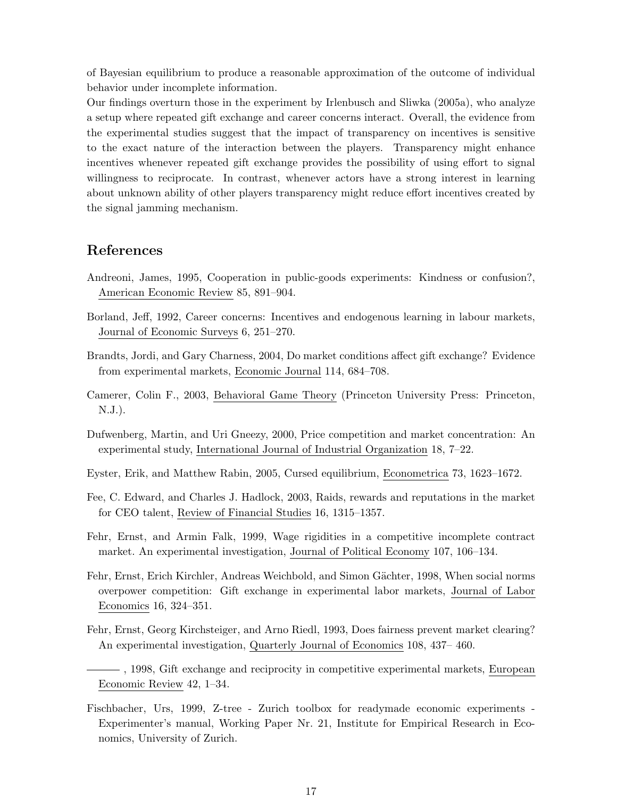of Bayesian equilibrium to produce a reasonable approximation of the outcome of individual behavior under incomplete information.

Our findings overturn those in the experiment by Irlenbusch and Sliwka (2005a), who analyze a setup where repeated gift exchange and career concerns interact. Overall, the evidence from the experimental studies suggest that the impact of transparency on incentives is sensitive to the exact nature of the interaction between the players. Transparency might enhance incentives whenever repeated gift exchange provides the possibility of using effort to signal willingness to reciprocate. In contrast, whenever actors have a strong interest in learning about unknown ability of other players transparency might reduce effort incentives created by the signal jamming mechanism.

## References

- Andreoni, James, 1995, Cooperation in public-goods experiments: Kindness or confusion?, American Economic Review 85, 891–904.
- Borland, Jeff, 1992, Career concerns: Incentives and endogenous learning in labour markets, Journal of Economic Surveys 6, 251–270.
- Brandts, Jordi, and Gary Charness, 2004, Do market conditions affect gift exchange? Evidence from experimental markets, Economic Journal 114, 684–708.
- Camerer, Colin F., 2003, Behavioral Game Theory (Princeton University Press: Princeton, N.J.).
- Dufwenberg, Martin, and Uri Gneezy, 2000, Price competition and market concentration: An experimental study, International Journal of Industrial Organization 18, 7–22.
- Eyster, Erik, and Matthew Rabin, 2005, Cursed equilibrium, Econometrica 73, 1623–1672.
- Fee, C. Edward, and Charles J. Hadlock, 2003, Raids, rewards and reputations in the market for CEO talent, Review of Financial Studies 16, 1315–1357.
- Fehr, Ernst, and Armin Falk, 1999, Wage rigidities in a competitive incomplete contract market. An experimental investigation, Journal of Political Economy 107, 106–134.
- Fehr, Ernst, Erich Kirchler, Andreas Weichbold, and Simon Gächter, 1998, When social norms overpower competition: Gift exchange in experimental labor markets, Journal of Labor Economics 16, 324–351.
- Fehr, Ernst, Georg Kirchsteiger, and Arno Riedl, 1993, Does fairness prevent market clearing? An experimental investigation, Quarterly Journal of Economics 108, 437– 460.
- , 1998, Gift exchange and reciprocity in competitive experimental markets, European Economic Review 42, 1–34.
- Fischbacher, Urs, 1999, Z-tree Zurich toolbox for readymade economic experiments Experimenter's manual, Working Paper Nr. 21, Institute for Empirical Research in Economics, University of Zurich.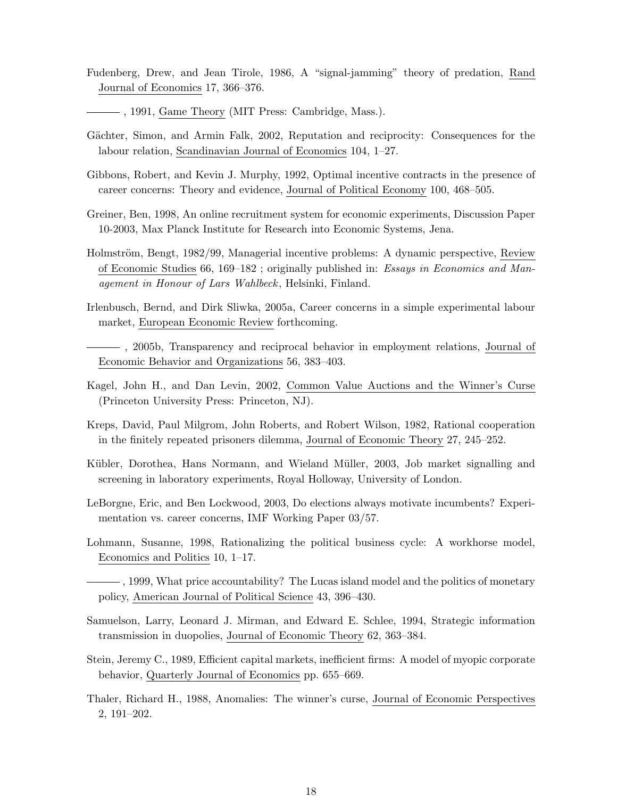- Fudenberg, Drew, and Jean Tirole, 1986, A "signal-jamming" theory of predation, Rand Journal of Economics 17, 366–376.
- , 1991, Game Theory (MIT Press: Cambridge, Mass.).
- Gächter, Simon, and Armin Falk, 2002, Reputation and reciprocity: Consequences for the labour relation, Scandinavian Journal of Economics 104, 1–27.
- Gibbons, Robert, and Kevin J. Murphy, 1992, Optimal incentive contracts in the presence of career concerns: Theory and evidence, Journal of Political Economy 100, 468–505.
- Greiner, Ben, 1998, An online recruitment system for economic experiments, Discussion Paper 10-2003, Max Planck Institute for Research into Economic Systems, Jena.
- Holmström, Bengt, 1982/99, Managerial incentive problems: A dynamic perspective, Review of Economic Studies 66, 169–182 ; originally published in: Essays in Economics and Management in Honour of Lars Wahlbeck, Helsinki, Finland.
- Irlenbusch, Bernd, and Dirk Sliwka, 2005a, Career concerns in a simple experimental labour market, European Economic Review forthcoming.
- , 2005b, Transparency and reciprocal behavior in employment relations, Journal of Economic Behavior and Organizations 56, 383–403.
- Kagel, John H., and Dan Levin, 2002, Common Value Auctions and the Winner's Curse (Princeton University Press: Princeton, NJ).
- Kreps, David, Paul Milgrom, John Roberts, and Robert Wilson, 1982, Rational cooperation in the finitely repeated prisoners dilemma, Journal of Economic Theory 27, 245–252.
- Kübler, Dorothea, Hans Normann, and Wieland Müller, 2003, Job market signalling and screening in laboratory experiments, Royal Holloway, University of London.
- LeBorgne, Eric, and Ben Lockwood, 2003, Do elections always motivate incumbents? Experimentation vs. career concerns, IMF Working Paper 03/57.
- Lohmann, Susanne, 1998, Rationalizing the political business cycle: A workhorse model, Economics and Politics 10, 1–17.
- $\frac{1}{100}$ , 1999, What price accountability? The Lucas island model and the politics of monetary policy, American Journal of Political Science 43, 396–430.
- Samuelson, Larry, Leonard J. Mirman, and Edward E. Schlee, 1994, Strategic information transmission in duopolies, Journal of Economic Theory 62, 363–384.
- Stein, Jeremy C., 1989, Efficient capital markets, inefficient firms: A model of myopic corporate behavior, Quarterly Journal of Economics pp. 655–669.
- Thaler, Richard H., 1988, Anomalies: The winner's curse, Journal of Economic Perspectives 2, 191–202.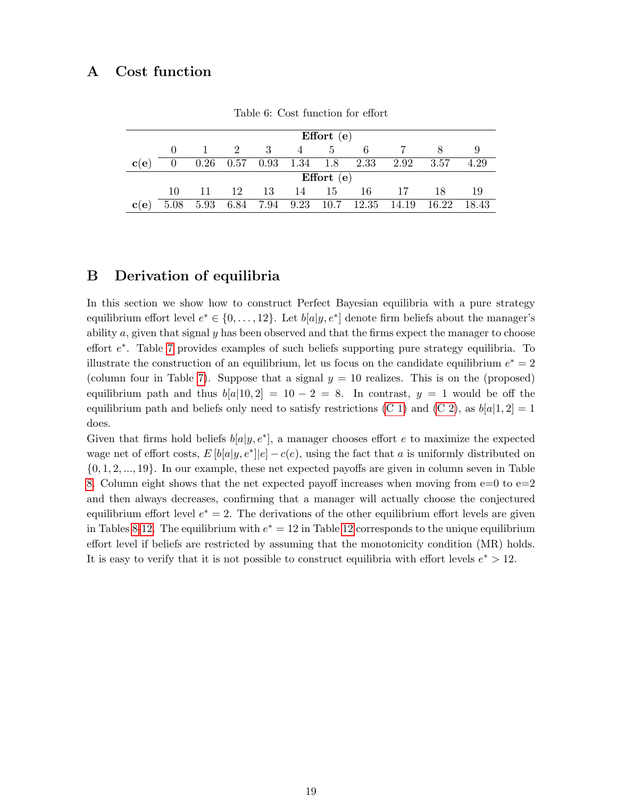## <span id="page-18-0"></span>A Cost function

|            |      |      |                      |     |            | Effort $(e)$   |                           |       |       |       |
|------------|------|------|----------------------|-----|------------|----------------|---------------------------|-------|-------|-------|
|            |      |      | 2                    | - 3 | 4          | $\overline{5}$ | 6                         |       |       |       |
| $\bf c(e)$ |      |      | $0.26$ $0.57$ $0.93$ |     | $1.34$ 1.8 |                | 2.33                      | 2.92  | 3.57  | 4.29  |
|            |      |      |                      |     |            | Effort $(e)$   |                           |       |       |       |
|            | 10   | -11  | 12                   | 13  | 14         | -15            | 16                        | -17   | 18    | -19   |
| $\bf c(e)$ | 5.08 | 5.93 |                      |     |            |                | 6.84 7.94 9.23 10.7 12.35 | 14.19 | 16.22 | 18.43 |

Table 6: Cost function for effort

## <span id="page-18-1"></span>B Derivation of equilibria

In this section we show how to construct Perfect Bayesian equilibria with a pure strategy equilibrium effort level  $e^* \in \{0, \ldots, 12\}$ . Let  $b[a|y, e^*]$  denote firm beliefs about the manager's ability  $a$ , given that signal  $y$  has been observed and that the firms expect the manager to choose effort  $e^*$ . Table [7](#page-19-0) provides examples of such beliefs supporting pure strategy equilibria. To illustrate the construction of an equilibrium, let us focus on the candidate equilibrium  $e^* = 2$ (column four in Table [7\)](#page-19-0). Suppose that a signal  $y = 10$  realizes. This is on the (proposed) equilibrium path and thus  $b[a|10, 2] = 10 - 2 = 8$ . In contrast,  $y = 1$  would be off the equilibrium path and beliefs only need to satisfy restrictions [\(C 1\)](#page-3-0) and [\(C 2\)](#page-3-1), as  $b[a|1, 2] = 1$ does.

Given that firms hold beliefs  $b[a|y, e^*]$ , a manager chooses effort e to maximize the expected wage net of effort costs,  $E[b[a|y, e^*]|e] - c(e)$ , using the fact that a is uniformly distributed on {0, 1, 2, ..., 19}. In our example, these net expected payoffs are given in column seven in Table [8.](#page-20-0) Column eight shows that the net expected payoff increases when moving from  $e=0$  to  $e=2$ and then always decreases, confirming that a manager will actually choose the conjectured equilibrium effort level  $e^* = 2$ . The derivations of the other equilibrium effort levels are given in Tables [8](#page-20-0)[-12.](#page-22-1) The equilibrium with  $e^* = 12$  $e^* = 12$  in Table 12 corresponds to the unique equilibrium effort level if beliefs are restricted by assuming that the monotonicity condition (MR) holds. It is easy to verify that it is not possible to construct equilibria with effort levels  $e^* > 12$ .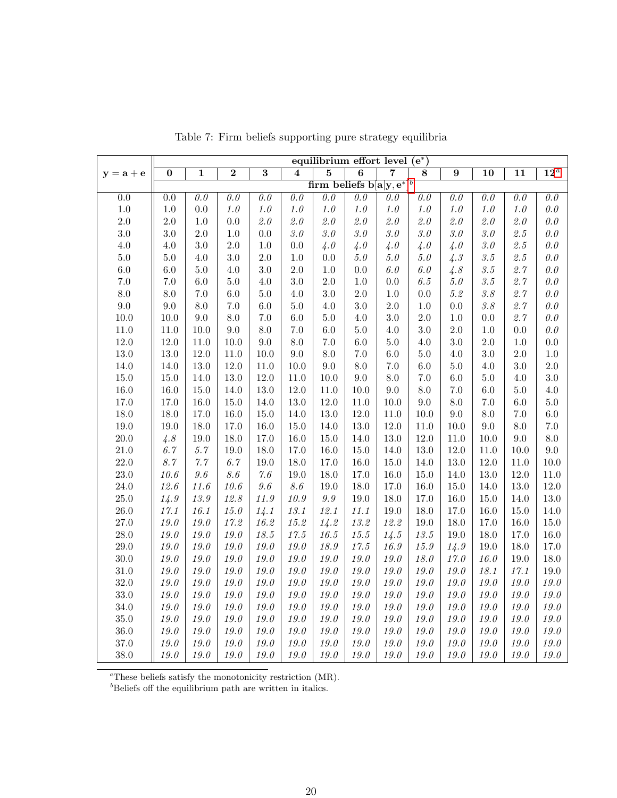|             | equilibrium effort level $(e^*)$ |                |                |                |                             |                                         |                             |                                  |                       |                |                           |                             |                                  |
|-------------|----------------------------------|----------------|----------------|----------------|-----------------------------|-----------------------------------------|-----------------------------|----------------------------------|-----------------------|----------------|---------------------------|-----------------------------|----------------------------------|
| $y = a + e$ | $\overline{0}$                   | $\overline{1}$ | $\overline{2}$ | $\overline{3}$ | $\overline{\mathbf{4}}$     | $\overline{5}$                          | $\overline{6}$              | $\overline{7}$                   | 8                     | $\overline{9}$ | $\overline{10}$           | $\overline{11}$             | $12^a$                           |
|             |                                  |                |                |                |                             | firm beliefs $b[a y, e^*]$ <sup>b</sup> |                             |                                  |                       |                |                           |                             |                                  |
| 0.0         | $\overline{0.0}$                 | 0.0            | 0.0            | 0.0            | $\overline{\theta. \theta}$ | $\overline{\theta. \theta}$             | $\overline{\theta. \theta}$ | $\overline{\theta \cdot \theta}$ | $\overline{\theta}$ . | 0.0            | 0.0                       | $\overline{\theta. \theta}$ | $\overline{\theta \cdot \theta}$ |
| $1.0\,$     | 1.0                              | 0.0            | $1.0\,$        | $1.0$          | $1.0\,$                     | $1.0\,$                                 | $1.0\,$                     | $1.0\,$                          | $1.0\,$               | $1.0\,$        | $1.0\,$                   | $1.0$                       | $\theta.\theta$                  |
| $2.0\,$     | 2.0                              | $1.0\,$        | 0.0            | $\it 2.0$      | $\it 2.0$                   | $\it 2.0$                               | $\it 2.0$                   | $\it 2.0$                        | $\it 2.0$             | $\it 2.0$      | $\it 2.0$                 | 2.0                         | $\theta.\theta$                  |
| $3.0\,$     | 3.0                              | $2.0\,$        | $1.0\,$        | 0.0            | $\it 3.0$                   | $\it 3.0$                               | 3.0                         | $\it 3.0$                        | $\it 3.0$             | $\it 3.0$      | $\it 3.0$                 | $\it 2.5$                   | 0.0                              |
| $4.0\,$     | 4.0                              | $3.0\,$        | $2.0\,$        | $1.0\,$        | $0.0\,$                     | 4.0                                     | 4.0                         | 4.0                              | 4.0                   | 4.0            | $\it 3.0$                 | 2.5                         | $\theta.\theta$                  |
| $5.0\,$     | 5.0                              | 4.0            | $3.0\,$        | $2.0\,$        | $1.0\,$                     | 0.0                                     | $5.0\,$                     | $5.0\,$                          | $5.0\,$               | 4.3            | $\it 3.5$                 | $\it 2.5$                   | $\theta.\theta$                  |
| $6.0\,$     | 6.0                              | $5.0\,$        | 4.0            | 3.0            | 2.0                         | $1.0\,$                                 | 0.0                         | 6.0                              | 6.0                   | 4.8            | $\it 3.5$                 | 2.7                         | $\theta.\theta$                  |
| $7.0\,$     | $7.0\,$                          | 6.0            | $5.0\,$        | 4.0            | $3.0\,$                     | $2.0\,$                                 | 1.0                         | $0.0\,$                          | 6.5                   | $5.0\,$        | $\it 3.5$                 | $2.7\,$                     | $\theta.\theta$                  |
| $8.0\,$     | 8.0                              | $7.0\,$        | $6.0\,$        | $5.0\,$        | $4.0\,$                     | $3.0\,$                                 | $2.0\,$                     | $1.0\,$                          | 0.0                   | $5.2\,$        | $\it 3.8$                 | $2.7\,$                     | $\theta.\theta$                  |
| $\,9.0$     | 9.0                              | $8.0\,$        | $7.0\,$        | $6.0\,$        | $5.0\,$                     | $4.0\,$                                 | 3.0                         | $2.0\,$                          | $1.0\,$               | $0.0\,$        | $\mathcal{S}.\mathcal{S}$ | $2.7\,$                     | $\theta.\theta$                  |
| $10.0$      | 10.0                             | $9.0\,$        | 8.0            | $7.0\,$        | $6.0\,$                     | $5.0\,$                                 | 4.0                         | 3.0                              | $2.0\,$               | $1.0\,$        | 0.0                       | 2.7                         | $\theta.\theta$                  |
| $11.0\,$    | $11.0\,$                         | $10.0\,$       | 9.0            | $8.0\,$        | $7.0\,$                     | $6.0\,$                                 | $5.0\,$                     | 4.0                              | 3.0                   | $2.0\,$        | $1.0\,$                   | $0.0\,$                     | $\theta.\theta$                  |
| 12.0        | 12.0                             | $11.0\,$       | 10.0           | 9.0            | $8.0\,$                     | $7.0\,$                                 | 6.0                         | $5.0\,$                          | $4.0\,$               | 3.0            | $2.0\,$                   | $1.0\,$                     | $0.0\,$                          |
| $13.0\,$    | 13.0                             | 12.0           | 11.0           | 10.0           | $9.0\,$                     | 8.0                                     | $7.0\,$                     | $6.0\,$                          | $5.0\,$               | 4.0            | $3.0\,$                   | $2.0\,$                     | $1.0\,$                          |
| 14.0        | 14.0                             | 13.0           | 12.0           | 11.0           | 10.0                        | 9.0                                     | 8.0                         | $7.0\,$                          | $6.0\,$               | 5.0            | $4.0\,$                   | $3.0\,$                     | $2.0\,$                          |
| $15.0\,$    | 15.0                             | 14.0           | 13.0           | 12.0           | 11.0                        | 10.0                                    | 9.0                         | $8.0\,$                          | $7.0\,$               | 6.0            | $5.0\,$                   | $4.0\,$                     | $3.0\,$                          |
| 16.0        | 16.0                             | $15.0\,$       | 14.0           | $13.0\,$       | 12.0                        | 11.0                                    | $10.0\,$                    | $9.0\,$                          | $8.0\,$               | $7.0\,$        | $6.0\,$                   | $5.0\,$                     | $4.0\,$                          |
| 17.0        | 17.0                             | 16.0           | 15.0           | 14.0           | $13.0\,$                    | 12.0                                    | 11.0                        | 10.0                             | 9.0                   | 8.0            | $7.0\,$                   | $6.0\,$                     | $5.0\,$                          |
| 18.0        | 18.0                             | 17.0           | 16.0           | 15.0           | 14.0                        | $13.0\,$                                | $12.0\,$                    | 11.0                             | 10.0                  | $9.0\,$        | $8.0\,$                   | $7.0\,$                     | $6.0\,$                          |
| 19.0        | 19.0                             | 18.0           | 17.0           | 16.0           | 15.0                        | 14.0                                    | 13.0                        | 12.0                             | 11.0                  | 10.0           | $9.0\,$                   | 8.0                         | $7.0\,$                          |
| $20.0\,$    | 4.8                              | $19.0\,$       | 18.0           | $17.0\,$       | $16.0\,$                    | 15.0                                    | $14.0\,$                    | $13.0\,$                         | 12.0                  | $11.0\,$       | 10.0                      | 9.0                         | $\!\!\!\!\!8.0$                  |
| $21.0\,$    | 6.7                              | $5.7\,$        | 19.0           | $18.0\,$       | 17.0                        | 16.0                                    | $15.0\,$                    | 14.0                             | $13.0\,$              | $12.0\,$       | 11.0                      | 10.0                        | $9.0\,$                          |
| 22.0        | $8.7\,$                          | $7.7\,$        | 6.7            | 19.0           | 18.0                        | 17.0                                    | $16.0\,$                    | $15.0\,$                         | 14.0                  | 13.0           | 12.0                      | 11.0                        | $10.0\,$                         |
| 23.0        | $10.6\,$                         | 9.6            | 8.6            | $7.6\,$        | 19.0                        | 18.0                                    | $17.0\,$                    | 16.0                             | 15.0                  | 14.0           | 13.0                      | 12.0                        | $11.0\,$                         |
| $24.0\,$    | 12.6                             | 11.6           | $10.6\,$       | $9.6\,$        | 8.6                         | 19.0                                    | $18.0\,$                    | $17.0\,$                         | 16.0                  | $15.0\,$       | 14.0                      | 13.0                        | $12.0\,$                         |
| $25.0\,$    | 14.9                             | $13.9\,$       | 12.8           | $11.9\,$       | 10.9                        | $9.9\,$                                 | 19.0                        | 18.0                             | 17.0                  | 16.0           | 15.0                      | 14.0                        | $13.0\,$                         |
| $26.0\,$    | 17.1                             | 16.1           | 15.0           | 14.1           | 13.1                        | 12.1                                    | 11.1                        | 19.0                             | 18.0                  | 17.0           | 16.0                      | $15.0\,$                    | 14.0                             |
| $27.0\,$    | 19.0                             | $19.0\,$       | 17.2           | 16.2           | 15.2                        | 14.2                                    | 13.2                        | 12.2                             | 19.0                  | $18.0\,$       | 17.0                      | $16.0\,$                    | $15.0\,$                         |
| $28.0\,$    | 19.0                             | $19.0\,$       | $19.0\,$       | 18.5           | 17.5                        | 16.5                                    | $15.5\,$                    | 14.5                             | 13.5                  | 19.0           | 18.0                      | 17.0                        | $16.0\,$                         |
| $29.0\,$    | 19.0                             | $19.0\,$       | $19.0\,$       | $19.0\,$       | $19.0\,$                    | $18.9\,$                                | $17.5\,$                    | $16.9\,$                         | 15.9                  | 14.9           | 19.0                      | $18.0\,$                    | $17.0\,$                         |
| $30.0\,$    | 19.0                             | $19.0\,$       | 19.0           | 19.0           | 19.0                        | $19.0\,$                                | 19.0                        | $19.0\,$                         | $18.0\,$              | $17.0\,$       | 16.0                      | 19.0                        | $18.0\,$                         |
| $31.0\,$    | 19.0                             | $19.0\,$       | $19.0\,$       | $19.0\,$       | $19.0\,$                    | $19.0$                                  | $19.0\,$                    | $19.0\,$                         | $19.0\,$              | $19.0\,$       | 18.1                      | 17.1                        | $19.0\,$                         |
| $32.0\,$    | 19.0                             | $19.0\,$       | 19.0           | $19.0\,$       | $19.0\,$                    | 19.0                                    | $19.0\,$                    | 19.0                             | 19.0                  | 19.0           | 19.0                      | 19.0                        | $19.0\,$                         |
| $33.0\,$    | 19.0                             | $19.0\,$       | $19.0\,$       | $19.0\,$       | $19.0\,$                    | $19.0\,$                                | $19.0\,$                    | $19.0\,$                         | $19.0\,$              | $19.0\,$       | $19.0\,$                  | $19.0$                      | $19.0\,$                         |
| $34.0\,$    | $19.0\,$                         | $19.0\,$       | $19.0\,$       | $19.0\,$       | $19.0\,$                    | $19.0\,$                                | $19.0\,$                    | $19.0\,$                         | $19.0\,$              | $19.0\,$       | $19.0\,$                  | $19.0\,$                    | $19.0\,$                         |
| $35.0\,$    | 19.0                             | $19.0\,$       | $19.0\,$       | $19.0$         | $19.0\,$                    | $19.0\,$                                | $19.0\,$                    | $19.0\,$                         | $19.0\,$              | $19.0\,$       | $19.0\,$                  | $19.0\,$                    | $19.0\,$                         |
| $36.0\,$    | $19.0$                           | $19.0\,$       | $19.0\,$       | $19.0\,$       | $19.0\,$                    | $19.0$                                  | $19.0\,$                    | $19.0\,$                         | $19.0\,$              | $19.0\,$       | $19.0\,$                  | $19.0\,$                    | $19.0\,$                         |
| $37.0\,$    | 19.0                             | $19.0\,$       | 19.0           | $19.0\,$       | $19.0\,$                    | 19.0                                    | $19.0\,$                    | $19.0\,$                         | $19.0\,$              | $19.0\,$       | 19.0                      | $19.0\,$                    | 19.0                             |
| 38.0        | 19.0                             | $19.0\,$       | $19.0\,$       | $19.0\,$       | $19.0\,$                    | $19.0\,$                                | $19.0\,$                    | $19.0\,$                         | $19.0\,$              | $19.0\,$       | $19.0\,$                  | $19.0\,$                    | $19.0\,$                         |

<span id="page-19-0"></span>Table 7: Firm beliefs supporting pure strategy equilibria

 ${}^a$ These beliefs satisfy the monotonicity restriction (MR).

 $b$ Beliefs off the equilibrium path are written in italics.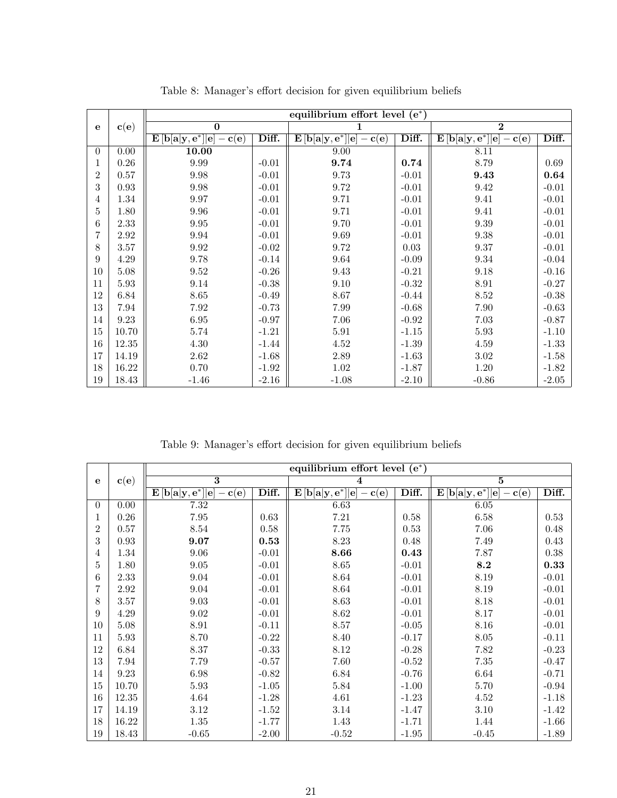|                |                          | equilibrium effort level $(e^*)$                                                                                |         |                                                                                                                    |         |                                                                                                                 |         |
|----------------|--------------------------|-----------------------------------------------------------------------------------------------------------------|---------|--------------------------------------------------------------------------------------------------------------------|---------|-----------------------------------------------------------------------------------------------------------------|---------|
| e              | $\mathbf{c}(\mathbf{e})$ | $\overline{0}$                                                                                                  |         |                                                                                                                    |         | $\bf{2}$                                                                                                        |         |
|                |                          | $\mathbf{E}\left[\mathbf{b}[\mathbf{a} \mathbf{y},\mathbf{e}^*] \mathbf{e}\right]$<br>$-\mathbf{c}(\mathbf{e})$ | Diff.   | $\boxed{\textbf{E}\left[\textbf{b}[\textbf{a} \textbf{y},\textbf{e}^*] \textbf{e}]-\textbf{c}(\textbf{e})\right]}$ | Diff.   | $\mathbf{E}\left[\mathbf{b}[\mathbf{a} \mathbf{y},\mathbf{e}^*] \mathbf{e}\right]$<br>$-\mathbf{c}(\mathbf{e})$ | Diff.   |
| $\overline{0}$ | 0.00                     | 10.00                                                                                                           |         | 9.00                                                                                                               |         | 8.11                                                                                                            |         |
| 1              | 0.26                     | 9.99                                                                                                            | $-0.01$ | 9.74                                                                                                               | 0.74    | 8.79                                                                                                            | 0.69    |
| $\overline{2}$ | 0.57                     | 9.98                                                                                                            | $-0.01$ | 9.73                                                                                                               | $-0.01$ | 9.43                                                                                                            | 0.64    |
| 3              | 0.93                     | $\boldsymbol{9.98}$                                                                                             | $-0.01$ | 9.72                                                                                                               | $-0.01$ | 9.42                                                                                                            | $-0.01$ |
| 4              | 1.34                     | 9.97                                                                                                            | $-0.01$ | 9.71                                                                                                               | $-0.01$ | 9.41                                                                                                            | $-0.01$ |
| 5              | 1.80                     | 9.96                                                                                                            | $-0.01$ | 9.71                                                                                                               | $-0.01$ | 9.41                                                                                                            | $-0.01$ |
| 6              | 2.33                     | 9.95                                                                                                            | $-0.01$ | 9.70                                                                                                               | $-0.01$ | 9.39                                                                                                            | $-0.01$ |
| 7              | 2.92                     | $\boldsymbol{9.94}$                                                                                             | $-0.01$ | 9.69                                                                                                               | $-0.01$ | 9.38                                                                                                            | $-0.01$ |
| 8              | 3.57                     | 9.92                                                                                                            | $-0.02$ | 9.72                                                                                                               | 0.03    | 9.37                                                                                                            | $-0.01$ |
| 9              | 4.29                     | 9.78                                                                                                            | $-0.14$ | 9.64                                                                                                               | $-0.09$ | $\ \, 9.34$                                                                                                     | $-0.04$ |
| 10             | 5.08                     | 9.52                                                                                                            | $-0.26$ | $9.43\,$                                                                                                           | $-0.21$ | 9.18                                                                                                            | $-0.16$ |
| 11             | $5.93\,$                 | 9.14                                                                                                            | $-0.38$ | 9.10                                                                                                               | $-0.32$ | $8.91\,$                                                                                                        | $-0.27$ |
| 12             | 6.84                     | $8.65\,$                                                                                                        | $-0.49$ | 8.67                                                                                                               | $-0.44$ | $8.52\,$                                                                                                        | $-0.38$ |
| 13             | 7.94                     | 7.92                                                                                                            | $-0.73$ | 7.99                                                                                                               | $-0.68$ | 7.90                                                                                                            | $-0.63$ |
| 14             | 9.23                     | 6.95                                                                                                            | $-0.97$ | 7.06                                                                                                               | $-0.92$ | 7.03                                                                                                            | $-0.87$ |
| 15             | 10.70                    | $5.74\,$                                                                                                        | $-1.21$ | $5.91\,$                                                                                                           | $-1.15$ | 5.93                                                                                                            | $-1.10$ |
| 16             | 12.35                    | $4.30\,$                                                                                                        | $-1.44$ | 4.52                                                                                                               | $-1.39$ | 4.59                                                                                                            | $-1.33$ |
| 17             | 14.19                    | 2.62                                                                                                            | $-1.68$ | 2.89                                                                                                               | $-1.63$ | 3.02                                                                                                            | $-1.58$ |
| 18             | 16.22                    | 0.70                                                                                                            | $-1.92$ | $1.02\,$                                                                                                           | $-1.87$ | $1.20\,$                                                                                                        | $-1.82$ |
| 19             | 18.43                    | $-1.46$                                                                                                         | $-2.16$ | $-1.08$                                                                                                            | $-2.10$ | $-0.86$                                                                                                         | $-2.05$ |

<span id="page-20-0"></span>Table 8: Manager's effort decision for given equilibrium beliefs

Table 9: Manager's effort decision for given equilibrium beliefs

|          |                          | equilibrium effort level $(e^*)$                                                                             |         |                                                                                                                        |          |                                                                                                                  |          |
|----------|--------------------------|--------------------------------------------------------------------------------------------------------------|---------|------------------------------------------------------------------------------------------------------------------------|----------|------------------------------------------------------------------------------------------------------------------|----------|
| e        | $\mathbf{c}(\mathbf{e})$ | $\overline{\mathbf{3}}$                                                                                      |         | 4                                                                                                                      |          | $\overline{5}$                                                                                                   |          |
|          |                          | $\mathbf{E}\left[\mathbf{b}[\mathbf{a} \mathbf{y},\mathbf{e}^*] \mathbf{e}] - \mathbf{c}(\mathbf{e})\right]$ | Diff.   | $\mathbf{E}\left[\mathbf{b}[\mathbf{a} \mathbf{y},\mathbf{e}^*]\middle \mathbf{e}\right]$<br>$-\mathbf{c}(\mathbf{e})$ | Diff.    | $\mathbf{E}\left[\mathbf{b}[\mathbf{a} \mathbf{y},\mathbf{e}^*]\ \mathbf{e}\right]$<br>$-\mathbf{c}(\mathbf{e})$ | Diff.    |
| $\theta$ | $\overline{0.00}$        | 7.32                                                                                                         |         | 6.63                                                                                                                   |          | 6.05                                                                                                             |          |
| 1        | 0.26                     | $7.95\,$                                                                                                     | 0.63    | 7.21                                                                                                                   | $0.58\,$ | 6.58                                                                                                             | $0.53\,$ |
| 2        | 0.57                     | $8.54\,$                                                                                                     | 0.58    | 7.75                                                                                                                   | 0.53     | 7.06                                                                                                             | 0.48     |
| 3        | 0.93                     | 9.07                                                                                                         | 0.53    | 8.23                                                                                                                   | 0.48     | 7.49                                                                                                             | 0.43     |
| 4        | 1.34                     | 9.06                                                                                                         | $-0.01$ | 8.66                                                                                                                   | 0.43     | 7.87                                                                                                             | 0.38     |
| 5        | 1.80                     | 9.05                                                                                                         | $-0.01$ | 8.65                                                                                                                   | $-0.01$  | 8.2                                                                                                              | 0.33     |
| 6        | 2.33                     | 9.04                                                                                                         | $-0.01$ | 8.64                                                                                                                   | $-0.01$  | 8.19                                                                                                             | $-0.01$  |
| 7        | 2.92                     | 9.04                                                                                                         | $-0.01$ | 8.64                                                                                                                   | $-0.01$  | 8.19                                                                                                             | $-0.01$  |
| 8        | 3.57                     | 9.03                                                                                                         | $-0.01$ | 8.63                                                                                                                   | $-0.01$  | 8.18                                                                                                             | $-0.01$  |
| 9        | $4.29\,$                 | $\ \, 9.02$                                                                                                  | $-0.01$ | $8.62\,$                                                                                                               | $-0.01$  | 8.17                                                                                                             | $-0.01$  |
| $10\,$   | $5.08\,$                 | 8.91                                                                                                         | $-0.11$ | 8.57                                                                                                                   | $-0.05$  | 8.16                                                                                                             | $-0.01$  |
| 11       | $5.93\,$                 | 8.70                                                                                                         | $-0.22$ | 8.40                                                                                                                   | $-0.17$  | $8.05\,$                                                                                                         | $-0.11$  |
| 12       | 6.84                     | 8.37                                                                                                         | $-0.33$ | 8.12                                                                                                                   | $-0.28$  | 7.82                                                                                                             | $-0.23$  |
| 13       | 7.94                     | 7.79                                                                                                         | $-0.57$ | 7.60                                                                                                                   | $-0.52$  | $7.35\,$                                                                                                         | $-0.47$  |
| 14       | 9.23                     | 6.98                                                                                                         | $-0.82$ | 6.84                                                                                                                   | $-0.76$  | 6.64                                                                                                             | $-0.71$  |
| 15       | 10.70                    | $5.93\,$                                                                                                     | $-1.05$ | 5.84                                                                                                                   | $-1.00$  | 5.70                                                                                                             | $-0.94$  |
| $16\,$   | 12.35                    | 4.64                                                                                                         | $-1.28$ | 4.61                                                                                                                   | $-1.23$  | 4.52                                                                                                             | $-1.18$  |
| 17       | 14.19                    | 3.12                                                                                                         | $-1.52$ | 3.14                                                                                                                   | $-1.47$  | 3.10                                                                                                             | $-1.42$  |
| 18       | 16.22                    | $1.35\,$                                                                                                     | $-1.77$ | 1.43                                                                                                                   | $-1.71$  | 1.44                                                                                                             | $-1.66$  |
| $19\,$   | 18.43                    | $-0.65$                                                                                                      | $-2.00$ | $-0.52$                                                                                                                | $-1.95$  | $-0.45$                                                                                                          | $-1.89$  |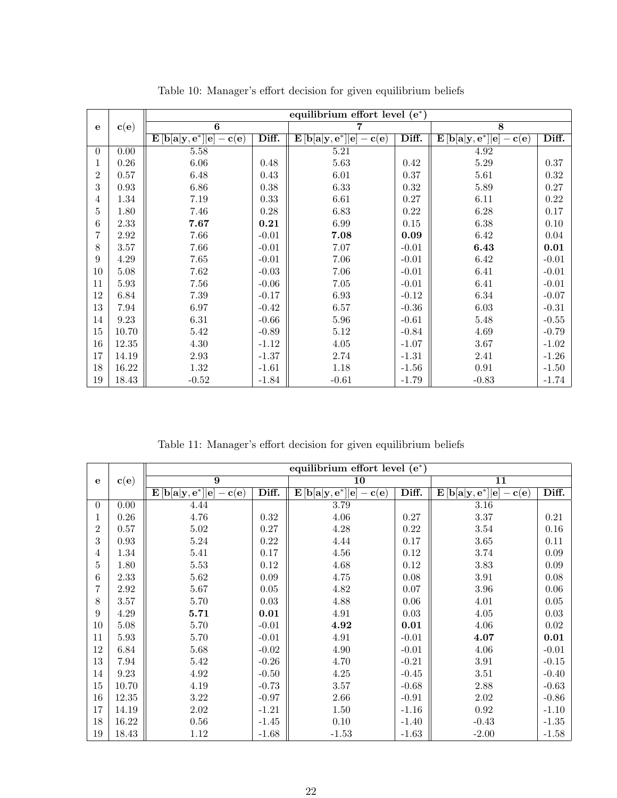|                |                          | equilibrium effort level (e*)                                                                                   |          |                                                                                                              |          |                                                                                                                 |                     |  |
|----------------|--------------------------|-----------------------------------------------------------------------------------------------------------------|----------|--------------------------------------------------------------------------------------------------------------|----------|-----------------------------------------------------------------------------------------------------------------|---------------------|--|
| e              | $\mathbf{c}(\mathbf{e})$ | $\overline{6}$                                                                                                  |          |                                                                                                              |          | $\overline{8}$                                                                                                  |                     |  |
|                |                          | $\mathbf{E}\left[\mathbf{b}[\mathbf{a} \mathbf{y},\mathbf{e}^*] \mathbf{e}\right]$<br>$-\mathbf{c}(\mathbf{e})$ | Diff.    | $\mathbf{E}\left[\mathbf{b}[\mathbf{a} \mathbf{y},\mathbf{e}^*] \mathbf{e}] - \mathbf{c}(\mathbf{e})\right]$ | Diff.    | $\mathbf{E}\left[\mathbf{b}[\mathbf{a} \mathbf{y},\mathbf{e}^*] \mathbf{e}\right]$<br>$-\mathbf{c}(\mathbf{e})$ | Diff.               |  |
| $\theta$       | 0.00                     | 5.58                                                                                                            |          | $5.21\,$                                                                                                     |          | 4.92                                                                                                            |                     |  |
| 1              | 0.26                     | 6.06                                                                                                            | 0.48     | 5.63                                                                                                         | 0.42     | 5.29                                                                                                            | 0.37                |  |
| 2              | 0.57                     | 6.48                                                                                                            | 0.43     | 6.01                                                                                                         | 0.37     | 5.61                                                                                                            | $0.32\,$            |  |
| 3              | 0.93                     | 6.86                                                                                                            | 0.38     | 6.33                                                                                                         | $0.32\,$ | 5.89                                                                                                            | 0.27                |  |
| 4              | 1.34                     | $7.19\,$                                                                                                        | 0.33     | 6.61                                                                                                         | 0.27     | 6.11                                                                                                            | 0.22                |  |
| 5              | 1.80                     | 7.46                                                                                                            | $0.28\,$ | 6.83                                                                                                         | 0.22     | 6.28                                                                                                            | 0.17                |  |
| 6              | 2.33                     | 7.67                                                                                                            | 0.21     | 6.99                                                                                                         | 0.15     | 6.38                                                                                                            | 0.10                |  |
| $\overline{7}$ | 2.92                     | 7.66                                                                                                            | $-0.01$  | 7.08                                                                                                         | 0.09     | 6.42                                                                                                            | 0.04                |  |
| 8              | 3.57                     | 7.66                                                                                                            | $-0.01$  | 7.07                                                                                                         | $-0.01$  | 6.43                                                                                                            | $\boldsymbol{0.01}$ |  |
| 9              | 4.29                     | 7.65                                                                                                            | $-0.01$  | 7.06                                                                                                         | $-0.01$  | 6.42                                                                                                            | $-0.01$             |  |
| 10             | 5.08                     | 7.62                                                                                                            | $-0.03$  | 7.06                                                                                                         | $-0.01$  | 6.41                                                                                                            | $-0.01$             |  |
| 11             | 5.93                     | 7.56                                                                                                            | $-0.06$  | $7.05\,$                                                                                                     | $-0.01$  | 6.41                                                                                                            | $-0.01$             |  |
| $12\,$         | 6.84                     | $7.39\,$                                                                                                        | $-0.17$  | 6.93                                                                                                         | $-0.12$  | 6.34                                                                                                            | $-0.07$             |  |
| 13             | 7.94                     | 6.97                                                                                                            | $-0.42$  | 6.57                                                                                                         | $-0.36$  | $6.03\,$                                                                                                        | $-0.31$             |  |
| 14             | $\ \, 9.23$              | 6.31                                                                                                            | $-0.66$  | 5.96                                                                                                         | $-0.61$  | 5.48                                                                                                            | $-0.55$             |  |
| 15             | 10.70                    | $5.42\,$                                                                                                        | $-0.89$  | $5.12\,$                                                                                                     | $-0.84$  | 4.69                                                                                                            | $-0.79$             |  |
| $16\,$         | 12.35                    | 4.30                                                                                                            | $-1.12$  | 4.05                                                                                                         | $-1.07$  | 3.67                                                                                                            | $-1.02$             |  |
| 17             | 14.19                    | 2.93                                                                                                            | $-1.37$  | 2.74                                                                                                         | $-1.31$  | 2.41                                                                                                            | $-1.26$             |  |
| 18             | 16.22                    | 1.32                                                                                                            | $-1.61$  | 1.18                                                                                                         | $-1.56$  | 0.91                                                                                                            | $-1.50$             |  |
| $19\,$         | 18.43                    | $-0.52$                                                                                                         | $-1.84$  | $-0.61$                                                                                                      | $-1.79$  | $-0.83$                                                                                                         | $-1.74$             |  |

Table 10: Manager's effort decision for given equilibrium beliefs

Table 11: Manager's effort decision for given equilibrium beliefs

|          |                          | equilibrium effort level $(e^*)$                                                                                |          |                                                                                                                  |          |                                                                                                             |            |
|----------|--------------------------|-----------------------------------------------------------------------------------------------------------------|----------|------------------------------------------------------------------------------------------------------------------|----------|-------------------------------------------------------------------------------------------------------------|------------|
| e        | $\mathbf{c}(\mathbf{e})$ | $\overline{9}$                                                                                                  |          | 10                                                                                                               |          | $\overline{11}$                                                                                             |            |
|          |                          | $\mathbf{E}\left[\mathbf{b}[\mathbf{a} \mathbf{y},\mathbf{e}^*] \mathbf{e}\right]$<br>$-\mathbf{c}(\mathbf{e})$ | Diff.    | $\mathbf{E}\left[\mathbf{b}[\mathbf{a} \mathbf{y},\mathbf{e}^*]\ \mathbf{e}\right]$<br>$-\mathbf{c}(\mathbf{e})$ | Diff.    | $\mathbf{E}\left[\mathbf{b}[\mathbf{a} \mathbf{y},\mathbf{e}^*]\right]$<br> e <br>$-\mathbf{c}(\mathbf{e})$ | Diff.      |
| $\Omega$ | $\overline{0.00}$        | 4.44                                                                                                            |          | 3.79                                                                                                             |          | 3.16                                                                                                        |            |
| 1        | 0.26                     | 4.76                                                                                                            | $0.32\,$ | 4.06                                                                                                             | 0.27     | 3.37                                                                                                        | $\rm 0.21$ |
| 2        | 0.57                     | 5.02                                                                                                            | 0.27     | 4.28                                                                                                             | 0.22     | 3.54                                                                                                        | 0.16       |
| 3        | 0.93                     | $5.24\,$                                                                                                        | $0.22\,$ | 4.44                                                                                                             | 0.17     | $3.65\,$                                                                                                    | 0.11       |
| 4        | 1.34                     | $5.41\,$                                                                                                        | 0.17     | 4.56                                                                                                             | 0.12     | 3.74                                                                                                        | 0.09       |
| 5        | 1.80                     | 5.53                                                                                                            | $0.12\,$ | 4.68                                                                                                             | 0.12     | 3.83                                                                                                        | 0.09       |
| 6        | 2.33                     | 5.62                                                                                                            | 0.09     | 4.75                                                                                                             | 0.08     | $3.91\,$                                                                                                    | 0.08       |
| 7        | 2.92                     | 5.67                                                                                                            | 0.05     | 4.82                                                                                                             | 0.07     | 3.96                                                                                                        | 0.06       |
| 8        | $3.57\,$                 | 5.70                                                                                                            | $0.03\,$ | 4.88                                                                                                             | 0.06     | 4.01                                                                                                        | $0.05\,$   |
| 9        | 4.29                     | 5.71                                                                                                            | 0.01     | 4.91                                                                                                             | $0.03\,$ | $4.05\,$                                                                                                    | $\,0.03\,$ |
| 10       | 5.08                     | 5.70                                                                                                            | $-0.01$  | 4.92                                                                                                             | 0.01     | 4.06                                                                                                        | $\,0.02$   |
| 11       | 5.93                     | 5.70                                                                                                            | $-0.01$  | 4.91                                                                                                             | $-0.01$  | 4.07                                                                                                        | 0.01       |
| 12       | 6.84                     | 5.68                                                                                                            | $-0.02$  | 4.90                                                                                                             | $-0.01$  | 4.06                                                                                                        | $-0.01$    |
| 13       | 7.94                     | $5.42\,$                                                                                                        | $-0.26$  | 4.70                                                                                                             | $-0.21$  | $3.91\,$                                                                                                    | $-0.15$    |
| 14       | 9.23                     | $4.92\,$                                                                                                        | $-0.50$  | 4.25                                                                                                             | $-0.45$  | 3.51                                                                                                        | $-0.40$    |
| 15       | 10.70                    | 4.19                                                                                                            | $-0.73$  | $3.57\,$                                                                                                         | $-0.68$  | $2.88\,$                                                                                                    | $-0.63$    |
| 16       | 12.35                    | 3.22                                                                                                            | $-0.97$  | 2.66                                                                                                             | $-0.91$  | $2.02\,$                                                                                                    | $-0.86$    |
| 17       | 14.19                    | 2.02                                                                                                            | $-1.21$  | 1.50                                                                                                             | $-1.16$  | $\rm 0.92$                                                                                                  | $-1.10$    |
| 18       | 16.22                    | 0.56                                                                                                            | $-1.45$  | 0.10                                                                                                             | $-1.40$  | $-0.43$                                                                                                     | $-1.35$    |
| $19\,$   | 18.43                    | 1.12                                                                                                            | $-1.68$  | $-1.53$                                                                                                          | $-1.63$  | $-2.00$                                                                                                     | $-1.58$    |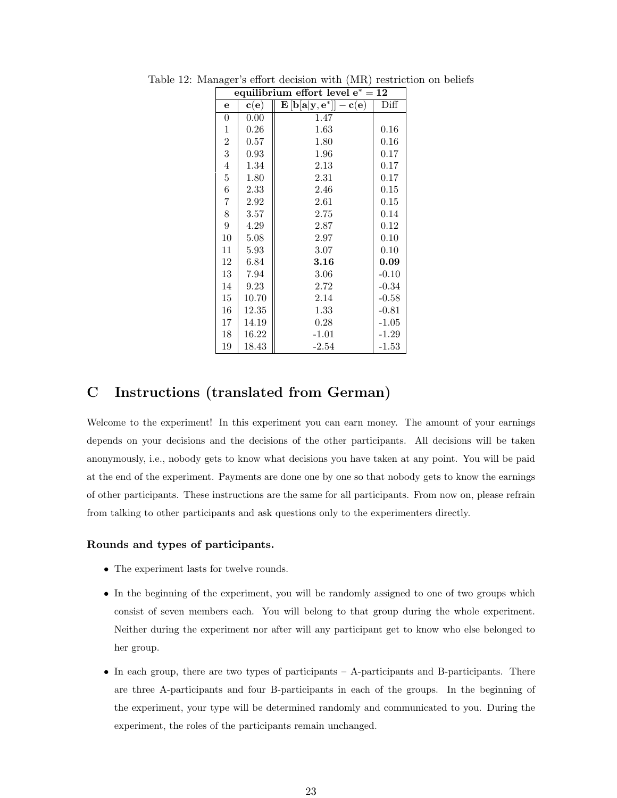<span id="page-22-1"></span>

|                  | equilibrium effort level $e^* = 12$ |                                                                                                |         |  |  |  |  |  |
|------------------|-------------------------------------|------------------------------------------------------------------------------------------------|---------|--|--|--|--|--|
| e                | $\mathbf{c}(\mathbf{e})$            | $\mathbf{E}\left[\mathbf{b}[\mathbf{a} \mathbf{y},\mathbf{e}^*]\right]-\mathbf{c}(\mathbf{e})$ | Diff    |  |  |  |  |  |
| 0                | 0.00                                | 1.47                                                                                           |         |  |  |  |  |  |
| $\mathbf 1$      | 0.26                                | 1.63                                                                                           | 0.16    |  |  |  |  |  |
| $\boldsymbol{2}$ | 0.57                                | 1.80                                                                                           | 0.16    |  |  |  |  |  |
| 3                | 0.93                                | 1.96                                                                                           | 0.17    |  |  |  |  |  |
| $\overline{4}$   | 1.34                                | 2.13                                                                                           | 0.17    |  |  |  |  |  |
| $\bf 5$          | 1.80                                | 2.31                                                                                           | 0.17    |  |  |  |  |  |
| 6                | 2.33                                | 2.46                                                                                           | 0.15    |  |  |  |  |  |
| 7                | 2.92                                | 2.61                                                                                           | 0.15    |  |  |  |  |  |
| 8                | 3.57                                | 2.75                                                                                           | 0.14    |  |  |  |  |  |
| 9                | 4.29                                | 2.87                                                                                           | 0.12    |  |  |  |  |  |
| 10               | 5.08                                | 2.97                                                                                           | 0.10    |  |  |  |  |  |
| 11               | 5.93                                | 3.07                                                                                           | 0.10    |  |  |  |  |  |
| 12               | 6.84                                | 3.16                                                                                           | 0.09    |  |  |  |  |  |
| 13               | 7.94                                | 3.06                                                                                           | $-0.10$ |  |  |  |  |  |
| 14               | 9.23                                | 2.72                                                                                           | $-0.34$ |  |  |  |  |  |
| 15               | 10.70                               | 2.14                                                                                           | $-0.58$ |  |  |  |  |  |
| 16               | 12.35                               | 1.33                                                                                           | $-0.81$ |  |  |  |  |  |
| 17               | 14.19                               | 0.28                                                                                           | $-1.05$ |  |  |  |  |  |
| 18               | 16.22                               | $-1.01$                                                                                        | $-1.29$ |  |  |  |  |  |
| 19               | 18.43                               | $-2.54$                                                                                        | $-1.53$ |  |  |  |  |  |

Table 12: Manager's effort decision with (MR) restriction on beliefs

## <span id="page-22-0"></span>C Instructions (translated from German)

Welcome to the experiment! In this experiment you can earn money. The amount of your earnings depends on your decisions and the decisions of the other participants. All decisions will be taken anonymously, i.e., nobody gets to know what decisions you have taken at any point. You will be paid at the end of the experiment. Payments are done one by one so that nobody gets to know the earnings of other participants. These instructions are the same for all participants. From now on, please refrain from talking to other participants and ask questions only to the experimenters directly.

#### Rounds and types of participants.

- The experiment lasts for twelve rounds.
- In the beginning of the experiment, you will be randomly assigned to one of two groups which consist of seven members each. You will belong to that group during the whole experiment. Neither during the experiment nor after will any participant get to know who else belonged to her group.
- In each group, there are two types of participants A-participants and B-participants. There are three A-participants and four B-participants in each of the groups. In the beginning of the experiment, your type will be determined randomly and communicated to you. During the experiment, the roles of the participants remain unchanged.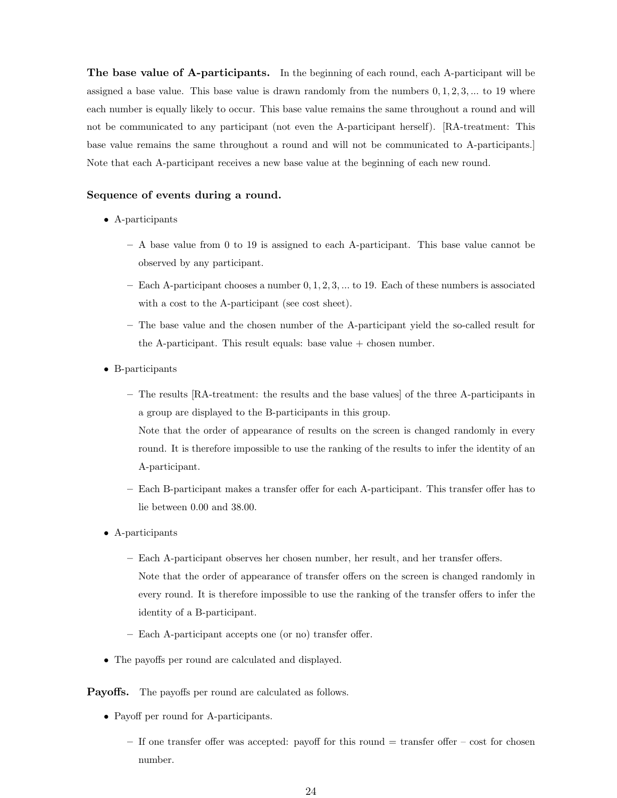The base value of A-participants. In the beginning of each round, each A-participant will be assigned a base value. This base value is drawn randomly from the numbers  $0, 1, 2, 3, \ldots$  to 19 where each number is equally likely to occur. This base value remains the same throughout a round and will not be communicated to any participant (not even the A-participant herself). [RA-treatment: This base value remains the same throughout a round and will not be communicated to A-participants.] Note that each A-participant receives a new base value at the beginning of each new round.

#### Sequence of events during a round.

- A-participants
	- A base value from 0 to 19 is assigned to each A-participant. This base value cannot be observed by any participant.
	- Each A-participant chooses a number  $0, 1, 2, 3, \ldots$  to 19. Each of these numbers is associated with a cost to the A-participant (see cost sheet).
	- The base value and the chosen number of the A-participant yield the so-called result for the A-participant. This result equals: base value  $+$  chosen number.
- B-participants
	- The results [RA-treatment: the results and the base values] of the three A-participants in a group are displayed to the B-participants in this group. Note that the order of appearance of results on the screen is changed randomly in every
		- round. It is therefore impossible to use the ranking of the results to infer the identity of an A-participant.
	- Each B-participant makes a transfer offer for each A-participant. This transfer offer has to lie between 0.00 and 38.00.
- A-participants
	- Each A-participant observes her chosen number, her result, and her transfer offers. Note that the order of appearance of transfer offers on the screen is changed randomly in every round. It is therefore impossible to use the ranking of the transfer offers to infer the identity of a B-participant.
	- Each A-participant accepts one (or no) transfer offer.
- The payoffs per round are calculated and displayed.

### Payoffs. The payoffs per round are calculated as follows.

- Payoff per round for A-participants.
	- $-$  If one transfer offer was accepted: payoff for this round  $=$  transfer offer  $-$  cost for chosen number.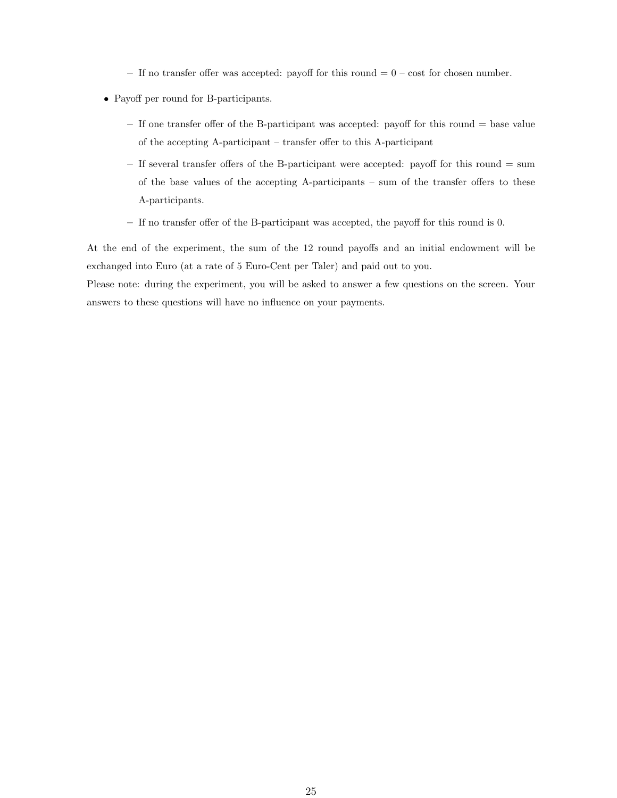- If no transfer offer was accepted: payoff for this round  $= 0 \cos t$  for chosen number.
- Payoff per round for B-participants.
	- $-$  If one transfer offer of the B-participant was accepted: payoff for this round  $=$  base value of the accepting A-participant – transfer offer to this A-participant
	- If several transfer offers of the B-participant were accepted: payoff for this round = sum of the base values of the accepting A-participants – sum of the transfer offers to these A-participants.
	- If no transfer offer of the B-participant was accepted, the payoff for this round is 0.

At the end of the experiment, the sum of the 12 round payoffs and an initial endowment will be exchanged into Euro (at a rate of 5 Euro-Cent per Taler) and paid out to you.

Please note: during the experiment, you will be asked to answer a few questions on the screen. Your answers to these questions will have no influence on your payments.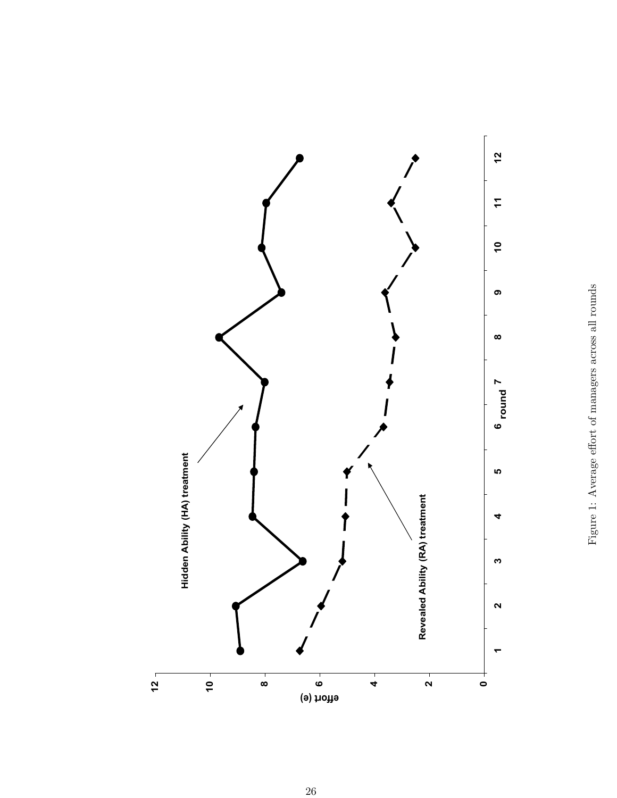<span id="page-25-0"></span>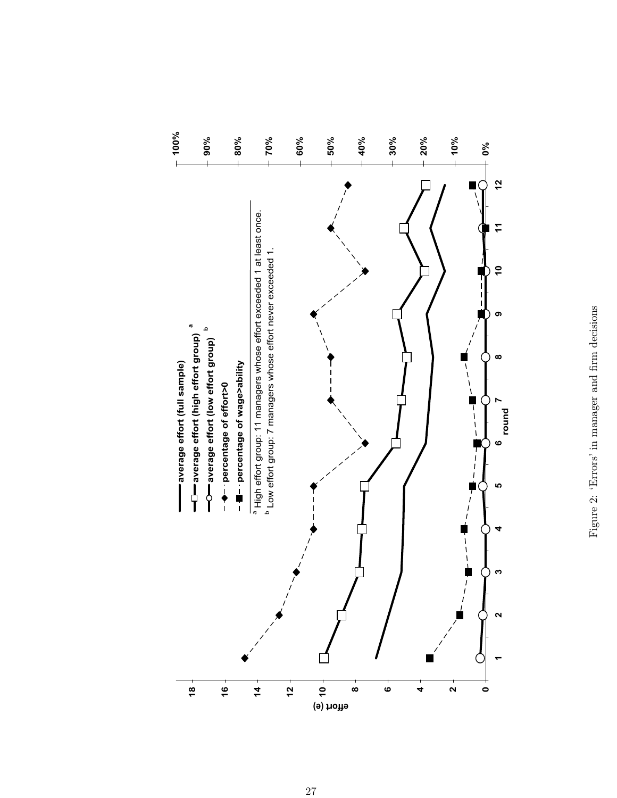<span id="page-26-0"></span>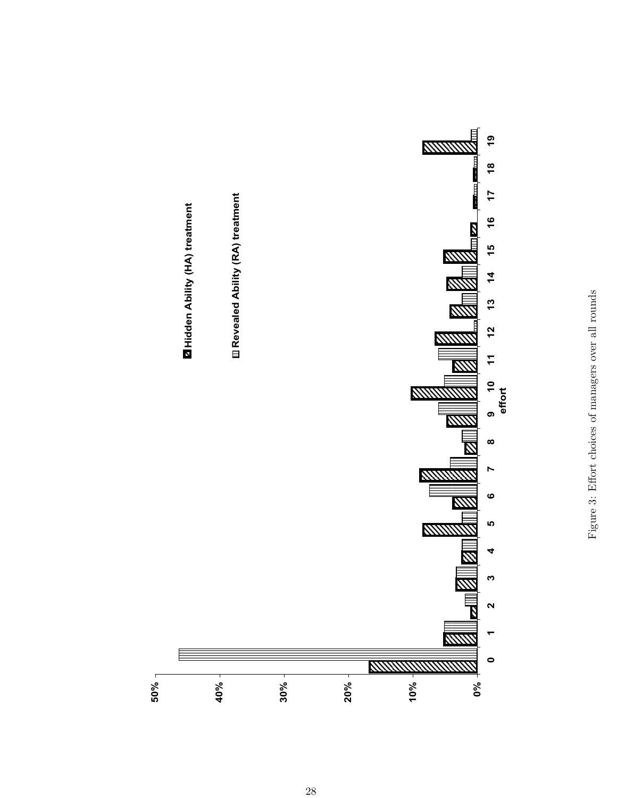<span id="page-27-0"></span>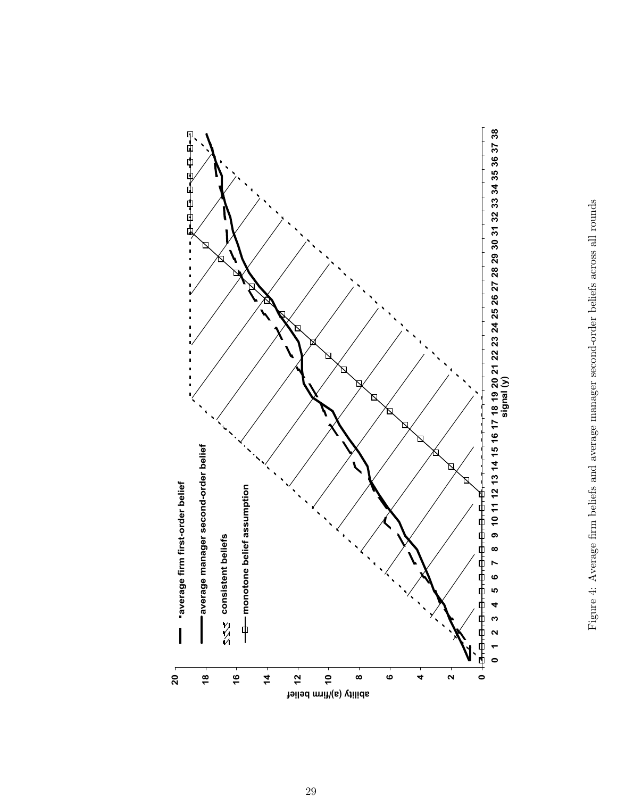

<span id="page-28-0"></span>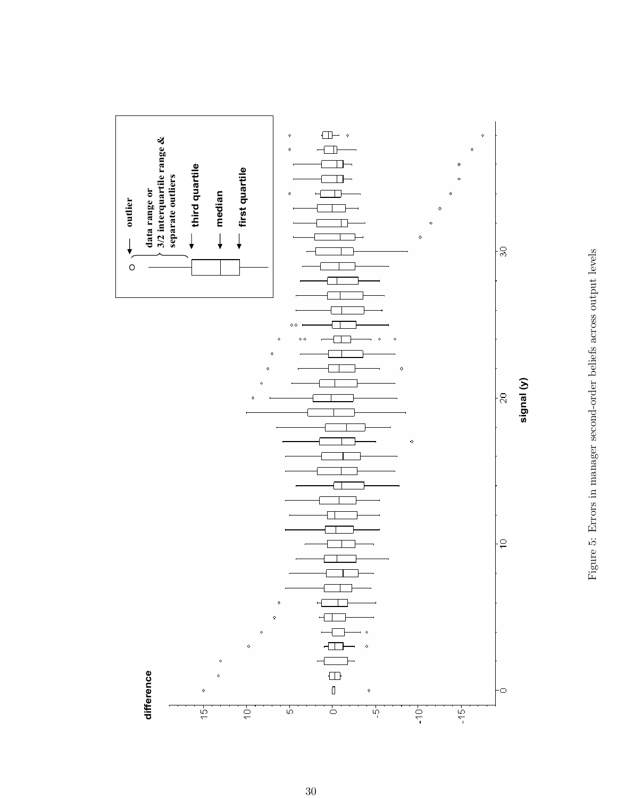<span id="page-29-0"></span>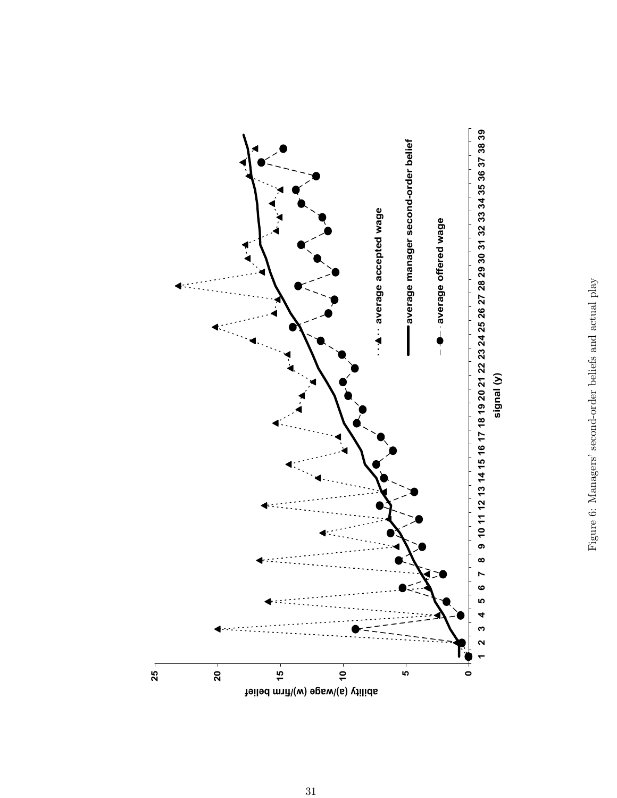<span id="page-30-0"></span>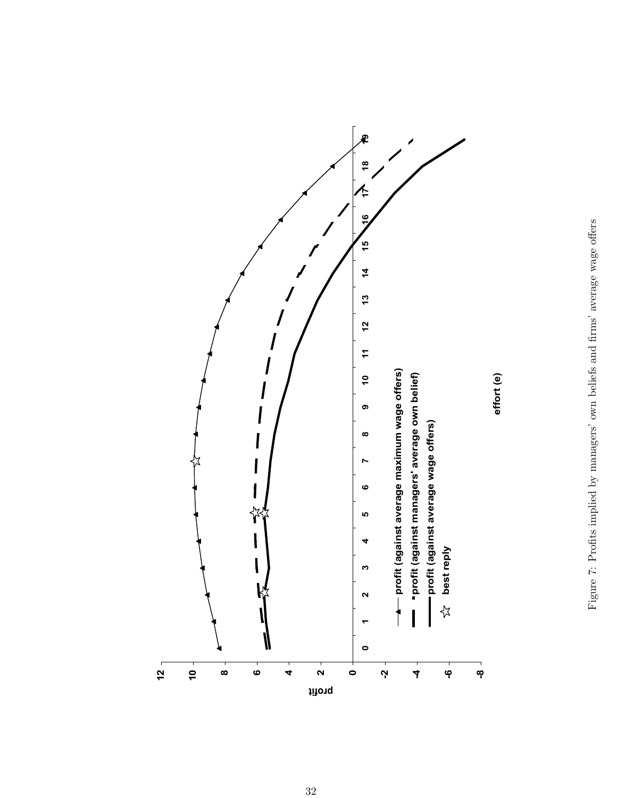<span id="page-31-0"></span>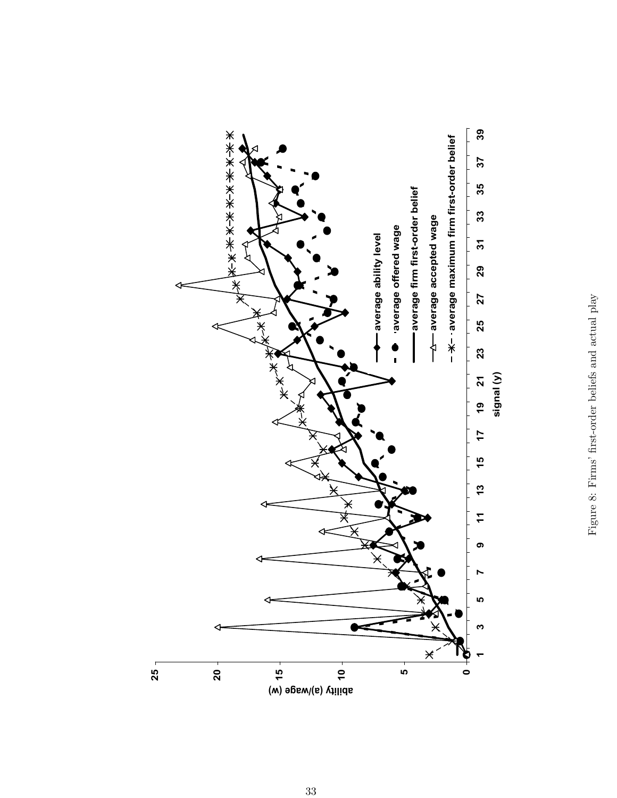<span id="page-32-0"></span>